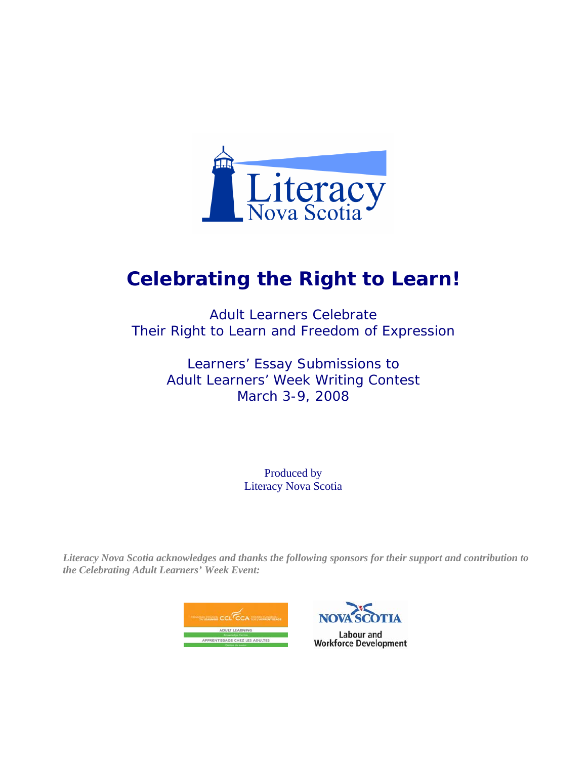

# **Celebrating the Right to Learn!**

Adult Learners Celebrate Their Right to Learn and Freedom of Expression

> Learners' Essay Submissions to Adult Learners' Week Writing Contest March 3-9, 2008

> > Produced by Literacy Nova Scotia

*Literacy Nova Scotia acknowledges and thanks the following sponsors for their support and contribution to the Celebrating Adult Learners' Week Event:*



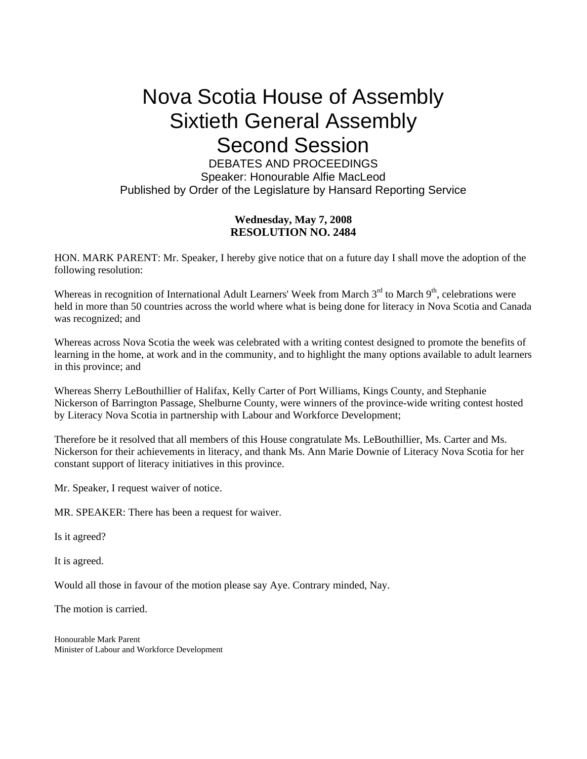# Nova Scotia House of Assembly Sixtieth General Assembly Second Session

DEBATES AND PROCEEDINGS Speaker: Honourable Alfie MacLeod Published by Order of the Legislature by Hansard Reporting Service

#### **Wednesday, May 7, 2008 RESOLUTION NO. 2484**

HON. MARK PARENT: Mr. Speaker, I hereby give notice that on a future day I shall move the adoption of the following resolution:

Whereas in recognition of International Adult Learners' Week from March 3<sup>rd</sup> to March 9<sup>th</sup>, celebrations were held in more than 50 countries across the world where what is being done for literacy in Nova Scotia and Canada was recognized; and

Whereas across Nova Scotia the week was celebrated with a writing contest designed to promote the benefits of learning in the home, at work and in the community, and to highlight the many options available to adult learners in this province; and

Whereas Sherry LeBouthillier of Halifax, Kelly Carter of Port Williams, Kings County, and Stephanie Nickerson of Barrington Passage, Shelburne County, were winners of the province-wide writing contest hosted by Literacy Nova Scotia in partnership with Labour and Workforce Development;

Therefore be it resolved that all members of this House congratulate Ms. LeBouthillier, Ms. Carter and Ms. Nickerson for their achievements in literacy, and thank Ms. Ann Marie Downie of Literacy Nova Scotia for her constant support of literacy initiatives in this province.

Mr. Speaker, I request waiver of notice.

MR. SPEAKER: There has been a request for waiver.

Is it agreed?

It is agreed.

Would all those in favour of the motion please say Aye. Contrary minded, Nay.

The motion is carried.

Honourable Mark Parent Minister of Labour and Workforce Development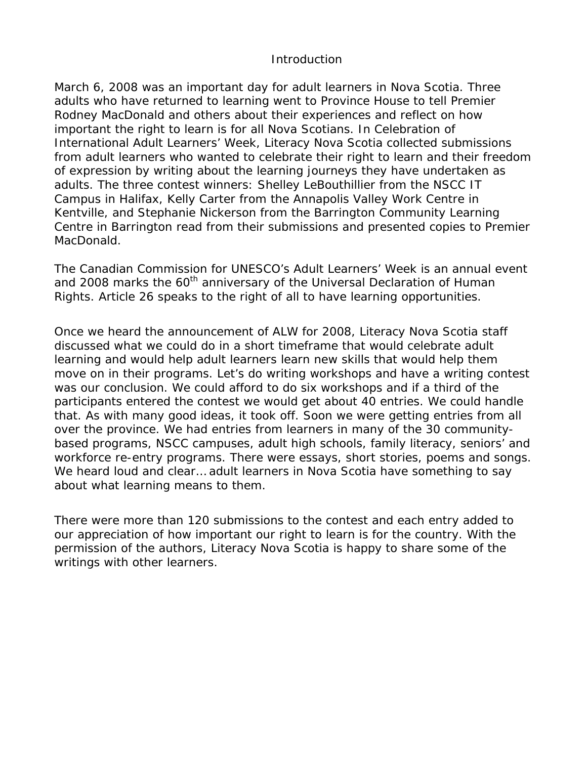#### Introduction

March 6, 2008 was an important day for adult learners in Nova Scotia. Three adults who have returned to learning went to Province House to tell Premier Rodney MacDonald and others about their experiences and reflect on how important the right to learn is for all Nova Scotians. In Celebration of International Adult Learners' Week, Literacy Nova Scotia collected submissions from adult learners who wanted to celebrate their right to learn and their freedom of expression by writing about the learning journeys they have undertaken as adults. The three contest winners: Shelley LeBouthillier from the NSCC IT Campus in Halifax, Kelly Carter from the Annapolis Valley Work Centre in Kentville, and Stephanie Nickerson from the Barrington Community Learning Centre in Barrington read from their submissions and presented copies to Premier MacDonald.

The Canadian Commission for UNESCO's Adult Learners' Week is an annual event and 2008 marks the 60<sup>th</sup> anniversary of the Universal Declaration of Human Rights. Article 26 speaks to the right of all to have learning opportunities.

Once we heard the announcement of ALW for 2008, Literacy Nova Scotia staff discussed what we could do in a short timeframe that would celebrate adult learning and would help adult learners learn new skills that would help them move on in their programs. Let's do writing workshops and have a writing contest was our conclusion. We could afford to do six workshops and if a third of the participants entered the contest we would get about 40 entries. We could handle that. As with many good ideas, it took off. Soon we were getting entries from all over the province. We had entries from learners in many of the 30 communitybased programs, NSCC campuses, adult high schools, family literacy, seniors' and workforce re-entry programs. There were essays, short stories, poems and songs. We heard loud and clear… adult learners in Nova Scotia have something to say about what learning means to them.

There were more than 120 submissions to the contest and each entry added to our appreciation of how important our right to learn is for the country. With the permission of the authors, Literacy Nova Scotia is happy to share some of the writings with other learners.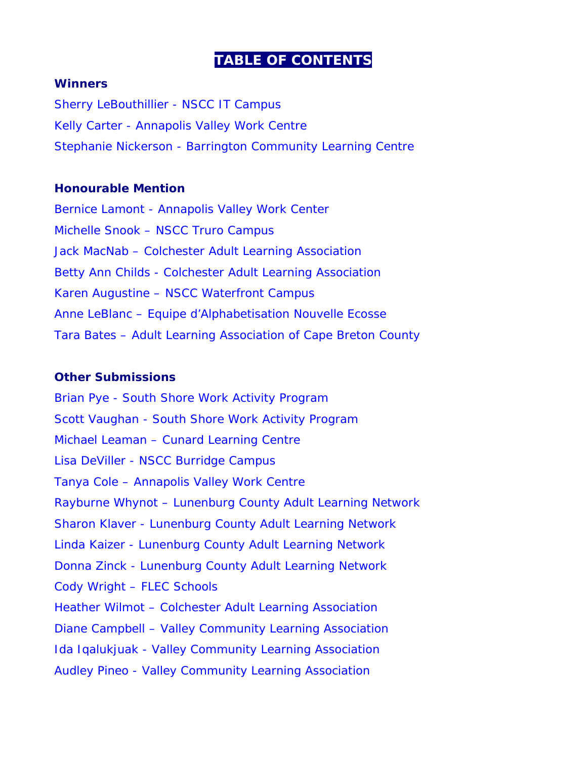## **TABLE OF CONTENTS**

#### **Winners**

[Sherry LeBouthillier - NSCC IT Campus](#page-5-0)  [Kelly Carter - Annapolis Valley Work Centre](#page-7-0)  [Stephanie Nickerson - Barrington Community Learning Centre](#page-8-0)

#### **Honourable Mention**

[Bernice Lamont - Annapolis Valley Work Center](#page-9-0)  [Michelle Snook – NSCC Truro Campus](#page-10-0)  [Jack MacNab – Colchester Adult Learning Association](#page-11-0)  [Betty Ann Childs - Colchester Adult Learning Association](#page-13-0)  [Karen Augustine – NSCC Waterfront Campus](#page-15-0)  [Anne LeBlanc – Equipe d'Alphabetisation Nouvelle Ecosse](#page-16-0)  [Tara Bates – Adult Learning Association of Cape Breton County](#page-17-0) 

#### **Other Submissions**

[Brian Pye - South Shore Work Activity Program](#page-18-0)  [Scott Vaughan - South Shore Work Activity Program](#page-19-0)  [Michael Leaman – Cunard Learning Centre](#page-20-0)  [Lisa DeViller - NSCC Burridge Campus](#page-21-0)  [Tanya Cole – Annapolis Valley Work Centre](#page-22-0)  [Rayburne Whynot – Lunenburg County Adult Learning Network](#page-23-0)  [Sharon Klaver - Lunenburg County Adult Learning Network](#page-24-0)  [Linda Kaizer - Lunenburg County Adult Learning Network](#page-25-0)  [Donna Zinck - Lunenburg County Adult Learning Network](#page-26-0)  [Cody Wright – FLEC Schools](#page-27-0)  [Heather Wilmot – Colchester Adult Learning Association](#page-28-0)  [Diane Campbell – Valley Community Learning Association](#page-29-0)  [Ida Iqalukjuak - Valley Community Learning Association](#page-30-0)  [Audley Pineo - Valley Community Learning Association](#page-32-0)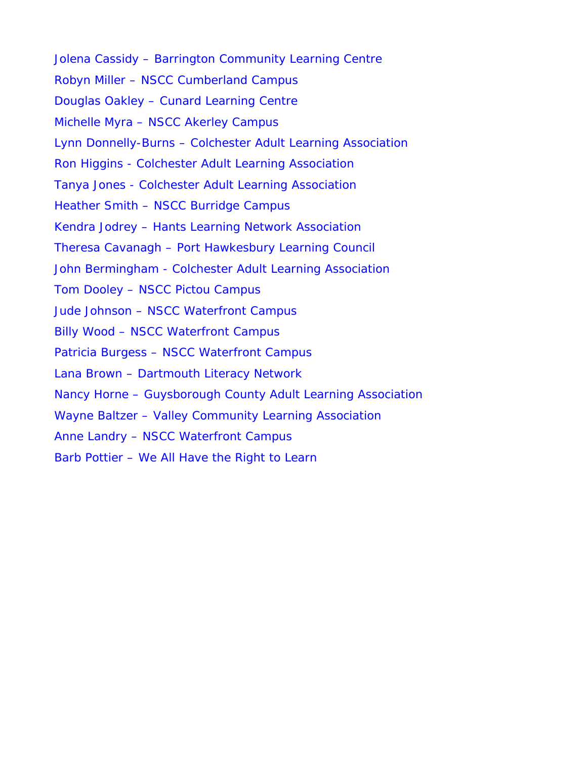[Jolena Cassidy – Barrington Community Learning Centre](#page-34-0)  [Robyn Miller – NSCC Cumberland Campus](#page-35-0)  [Douglas Oakley – Cunard Learning Centre](#page-37-0)  [Michelle Myra – NSCC Akerley Campus](#page-38-0)  [Lynn Donnelly-Burns – Colchester Adult Learning Association](#page-40-0)  [Ron Higgins - Colchester Adult Learning Association](#page-41-0)  [Tanya Jones - Colchester Adult Learning Association](#page-42-0)  [Heather Smith – NSCC Burridge Campus](#page-43-0)  [Kendra Jodrey – Hants Learning Network Association](#page-44-0)  [Theresa Cavanagh – Port Hawkesbury Learning Council](#page-45-0)  [John Bermingham - Colchester Adult Learning Association](#page-46-0)  [Tom Dooley – NSCC Pictou Campus](#page-48-0)  [Jude Johnson – NSCC Waterfront Campus](#page-49-0)  [Billy Wood – NSCC Waterfront Campus](#page-50-0)  [Patricia Burgess – NSCC Waterfront Campus](#page-51-0)  [Lana Brown – Dartmouth Literacy Network](#page-52-0)  [Nancy Horne – Guysborough County Adult Learning Association](#page-53-0)  [Wayne Baltzer – Valley Community Learning Association](#page-54-0)  [Anne Landry – NSCC Waterfront Campus](#page-55-0)  [Barb Pottier – We All Have the Right to Learn](#page-56-0)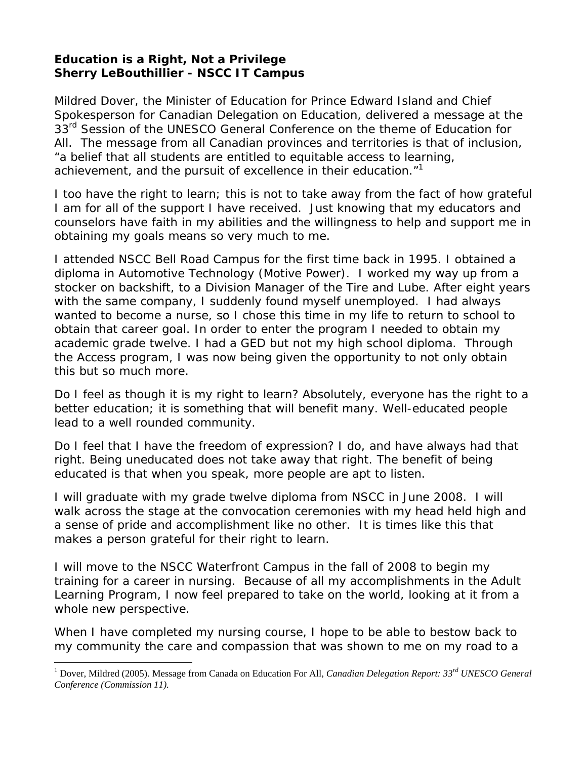## <span id="page-5-0"></span>**Education is a Right, Not a Privilege Sherry LeBouthillier - NSCC IT Campus**

Mildred Dover, the Minister of Education for Prince Edward Island and Chief Spokesperson for Canadian Delegation on Education, delivered a message at the 33<sup>rd</sup> Session of the UNESCO General Conference on the theme of Education for All. The message from all Canadian provinces and territories is that of inclusion, "a belief that all students are entitled to equitable access to learning, achievement, and the pursuit of excellence in their education."<sup>1</sup>

I too have the right to learn; this is not to take away from the fact of how grateful I am for all of the support I have received. Just knowing that my educators and counselors have faith in my abilities and the willingness to help and support me in obtaining my goals means so very much to me.

I attended NSCC Bell Road Campus for the first time back in 1995. I obtained a diploma in Automotive Technology (Motive Power). I worked my way up from a stocker on backshift, to a Division Manager of the Tire and Lube. After eight years with the same company, I suddenly found myself unemployed. I had always wanted to become a nurse, so I chose this time in my life to return to school to obtain that career goal. In order to enter the program I needed to obtain my academic grade twelve. I had a GED but not my high school diploma. Through the Access program, I was now being given the opportunity to not only obtain this but so much more.

Do I feel as though it is my right to learn? Absolutely, everyone has the right to a better education; it is something that will benefit many. Well-educated people lead to a well rounded community.

Do I feel that I have the freedom of expression? I do, and have always had that right. Being uneducated does not take away that right. The benefit of being educated is that when you speak, more people are apt to listen.

I will graduate with my grade twelve diploma from NSCC in June 2008. I will walk across the stage at the convocation ceremonies with my head held high and a sense of pride and accomplishment like no other. It is times like this that makes a person grateful for their right to learn.

I will move to the NSCC Waterfront Campus in the fall of 2008 to begin my training for a career in nursing. Because of all my accomplishments in the Adult Learning Program, I now feel prepared to take on the world, looking at it from a whole new perspective.

When I have completed my nursing course, I hope to be able to bestow back to my community the care and compassion that was shown to me on my road to a

 $\overline{a}$ 

<sup>&</sup>lt;sup>1</sup> Dover, Mildred (2005). Message from Canada on Education For All, *Canadian Delegation Report: 33<sup>rd</sup> UNESCO General Conference (Commission 11).*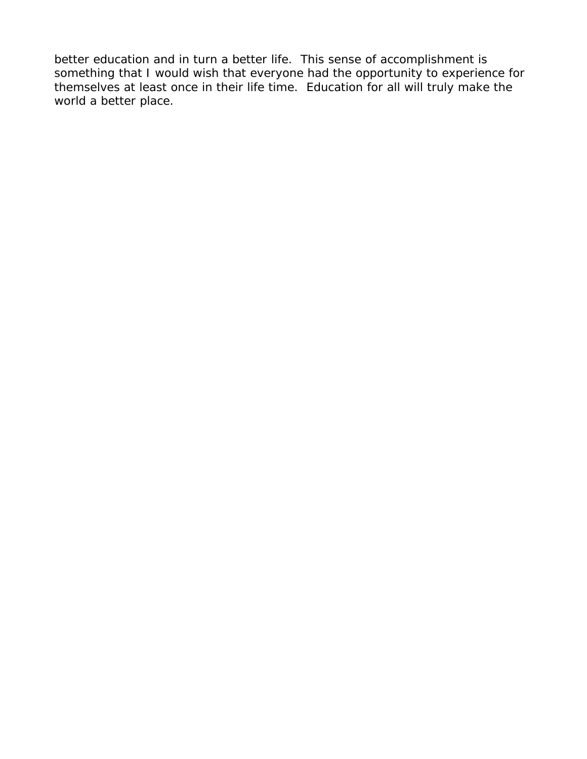better education and in turn a better life. This sense of accomplishment is something that I would wish that everyone had the opportunity to experience for themselves at least once in their life time. Education for all will truly make the world a better place.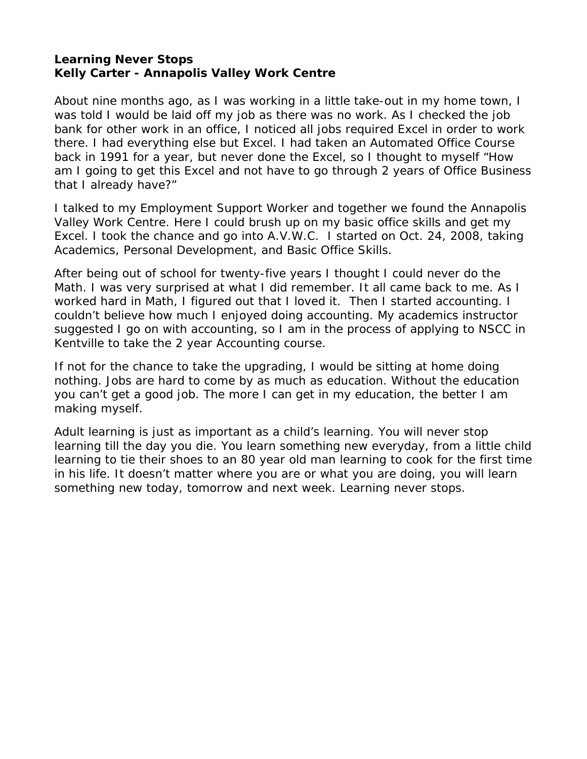#### <span id="page-7-0"></span>**Learning Never Stops Kelly Carter - Annapolis Valley Work Centre**

About nine months ago, as I was working in a little take-out in my home town, I was told I would be laid off my job as there was no work. As I checked the job bank for other work in an office, I noticed all jobs required Excel in order to work there. I had everything else but Excel. I had taken an Automated Office Course back in 1991 for a year, but never done the Excel, so I thought to myself "How am I going to get this Excel and not have to go through 2 years of Office Business that I already have?"

I talked to my Employment Support Worker and together we found the Annapolis Valley Work Centre. Here I could brush up on my basic office skills and get my Excel. I took the chance and go into A.V.W.C. I started on Oct. 24, 2008, taking Academics, Personal Development, and Basic Office Skills.

After being out of school for twenty-five years I thought I could never do the Math. I was very surprised at what I did remember. It all came back to me. As I worked hard in Math, I figured out that I loved it. Then I started accounting. I couldn't believe how much I enjoyed doing accounting. My academics instructor suggested I go on with accounting, so I am in the process of applying to NSCC in Kentville to take the 2 year Accounting course.

If not for the chance to take the upgrading, I would be sitting at home doing nothing. Jobs are hard to come by as much as education. Without the education you can't get a good job. The more I can get in my education, the better I am making myself.

Adult learning is just as important as a child's learning. You will never stop learning till the day you die. You learn something new everyday, from a little child learning to tie their shoes to an 80 year old man learning to cook for the first time in his life. It doesn't matter where you are or what you are doing, you will learn something new today, tomorrow and next week. Learning never stops.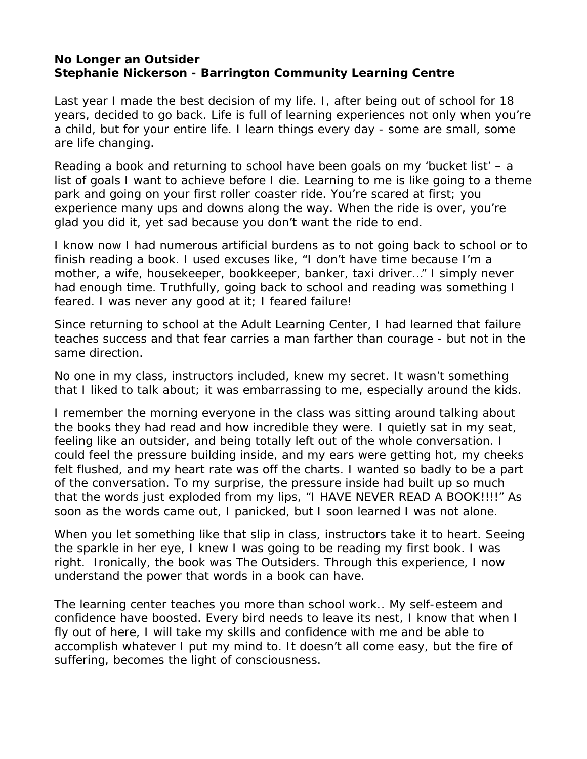#### <span id="page-8-0"></span>**No Longer an Outsider Stephanie Nickerson - Barrington Community Learning Centre**

Last year I made the best decision of my life. I, after being out of school for 18 years, decided to go back. Life is full of learning experiences not only when you're a child, but for your entire life. I learn things every day - some are small, some are life changing.

Reading a book and returning to school have been goals on my 'bucket list' – a list of goals I want to achieve before I die. Learning to me is like going to a theme park and going on your first roller coaster ride. You're scared at first; you experience many ups and downs along the way. When the ride is over, you're glad you did it, yet sad because you don't want the ride to end.

I know now I had numerous artificial burdens as to not going back to school or to finish reading a book. I used excuses like, "I don't have time because I'm a mother, a wife, housekeeper, bookkeeper, banker, taxi driver…" I simply never had enough time. Truthfully, going back to school and reading was something I feared. I was never any good at it; I feared failure!

Since returning to school at the Adult Learning Center, I had learned that failure teaches success and that fear carries a man farther than courage - but not in the same direction.

No one in my class, instructors included, knew my secret. It wasn't something that I liked to talk about; it was embarrassing to me, especially around the kids.

I remember the morning everyone in the class was sitting around talking about the books they had read and how incredible they were. I quietly sat in my seat, feeling like an outsider, and being totally left out of the whole conversation. I could feel the pressure building inside, and my ears were getting hot, my cheeks felt flushed, and my heart rate was off the charts. I wanted so badly to be a part of the conversation. To my surprise, the pressure inside had built up so much that the words just exploded from my lips, "I HAVE NEVER READ A BOOK!!!!" As soon as the words came out, I panicked, but I soon learned I was not alone.

When you let something like that slip in class, instructors take it to heart. Seeing the sparkle in her eye, I knew I was going to be reading my first book. I was right. Ironically, the book was The Outsiders. Through this experience, I now understand the power that words in a book can have.

The learning center teaches you more than school work.. My self-esteem and confidence have boosted. Every bird needs to leave its nest, I know that when I fly out of here, I will take my skills and confidence with me and be able to accomplish whatever I put my mind to. It doesn't all come easy, but the fire of suffering, becomes the light of consciousness.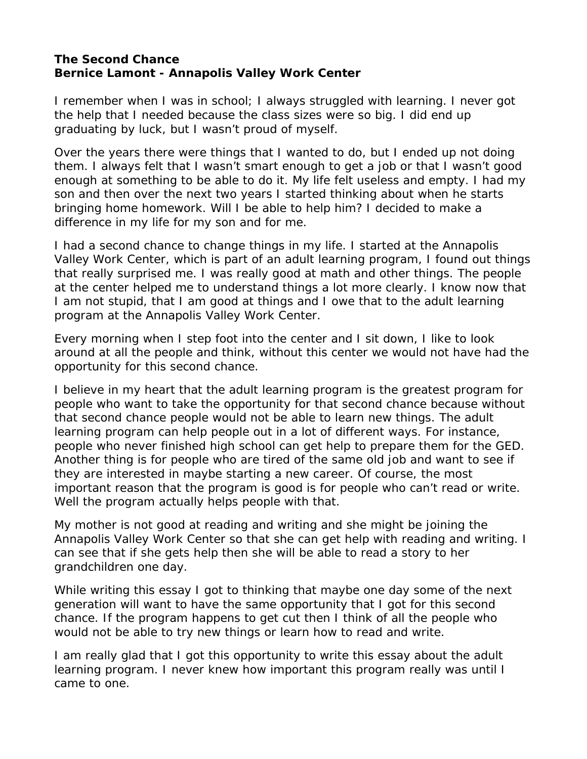#### <span id="page-9-0"></span>**The Second Chance Bernice Lamont - Annapolis Valley Work Center**

I remember when I was in school; I always struggled with learning. I never got the help that I needed because the class sizes were so big. I did end up graduating by luck, but I wasn't proud of myself.

Over the years there were things that I wanted to do, but I ended up not doing them. I always felt that I wasn't smart enough to get a job or that I wasn't good enough at something to be able to do it. My life felt useless and empty. I had my son and then over the next two years I started thinking about when he starts bringing home homework. Will I be able to help him? I decided to make a difference in my life for my son and for me.

I had a second chance to change things in my life. I started at the Annapolis Valley Work Center, which is part of an adult learning program, I found out things that really surprised me. I was really good at math and other things. The people at the center helped me to understand things a lot more clearly. I know now that I am not stupid, that I am good at things and I owe that to the adult learning program at the Annapolis Valley Work Center.

Every morning when I step foot into the center and I sit down, I like to look around at all the people and think, without this center we would not have had the opportunity for this second chance.

I believe in my heart that the adult learning program is the greatest program for people who want to take the opportunity for that second chance because without that second chance people would not be able to learn new things. The adult learning program can help people out in a lot of different ways. For instance, people who never finished high school can get help to prepare them for the GED. Another thing is for people who are tired of the same old job and want to see if they are interested in maybe starting a new career. Of course, the most important reason that the program is good is for people who can't read or write. Well the program actually helps people with that.

My mother is not good at reading and writing and she might be joining the Annapolis Valley Work Center so that she can get help with reading and writing. I can see that if she gets help then she will be able to read a story to her grandchildren one day.

While writing this essay I got to thinking that maybe one day some of the next generation will want to have the same opportunity that I got for this second chance. If the program happens to get cut then I think of all the people who would not be able to try new things or learn how to read and write.

I am really glad that I got this opportunity to write this essay about the adult learning program. I never knew how important this program really was until I came to one.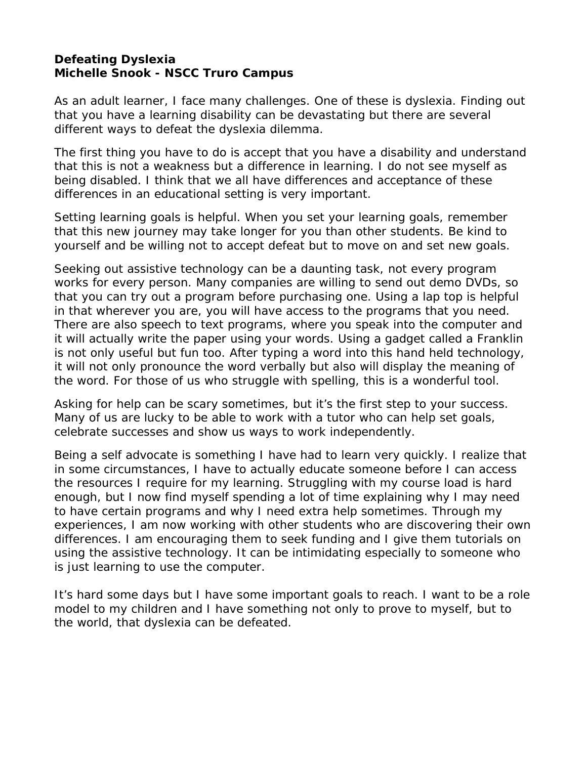#### <span id="page-10-0"></span>**Defeating Dyslexia Michelle Snook - NSCC Truro Campus**

As an adult learner, I face many challenges. One of these is dyslexia. Finding out that you have a learning disability can be devastating but there are several different ways to defeat the dyslexia dilemma.

The first thing you have to do is accept that you have a disability and understand that this is not a weakness but a difference in learning. I do not see myself as being disabled. I think that we all have differences and acceptance of these differences in an educational setting is very important.

Setting learning goals is helpful. When you set your learning goals, remember that this new journey may take longer for you than other students. Be kind to yourself and be willing not to accept defeat but to move on and set new goals.

Seeking out assistive technology can be a daunting task, not every program works for every person. Many companies are willing to send out demo DVDs, so that you can try out a program before purchasing one. Using a lap top is helpful in that wherever you are, you will have access to the programs that you need. There are also speech to text programs, where you speak into the computer and it will actually write the paper using your words. Using a gadget called a Franklin is not only useful but fun too. After typing a word into this hand held technology, it will not only pronounce the word verbally but also will display the meaning of the word. For those of us who struggle with spelling, this is a wonderful tool.

Asking for help can be scary sometimes, but it's the first step to your success. Many of us are lucky to be able to work with a tutor who can help set goals, celebrate successes and show us ways to work independently.

Being a self advocate is something I have had to learn very quickly. I realize that in some circumstances, I have to actually educate someone before I can access the resources I require for my learning. Struggling with my course load is hard enough, but I now find myself spending a lot of time explaining why I may need to have certain programs and why I need extra help sometimes. Through my experiences, I am now working with other students who are discovering their own differences. I am encouraging them to seek funding and I give them tutorials on using the assistive technology. It can be intimidating especially to someone who is just learning to use the computer.

It's hard some days but I have some important goals to reach. I want to be a role model to my children and I have something not only to prove to myself, but to the world, that dyslexia can be defeated.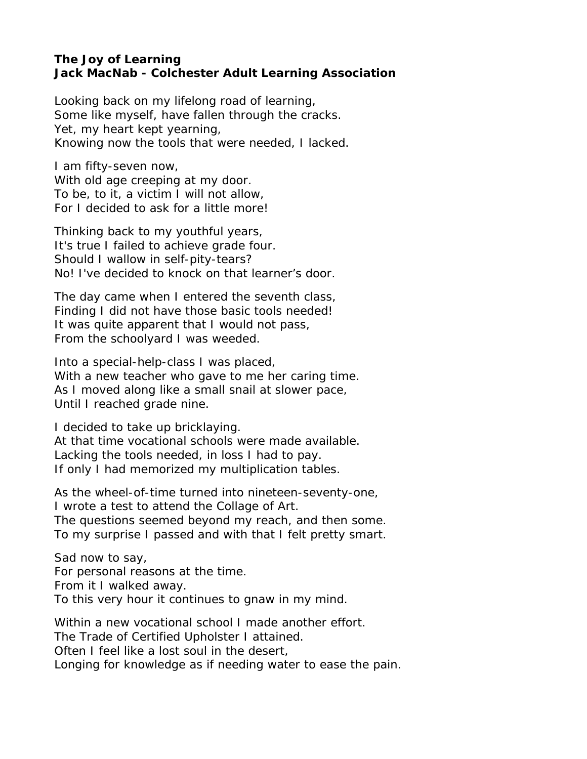#### <span id="page-11-0"></span>**The Joy of Learning Jack MacNab - Colchester Adult Learning Association**

Looking back on my lifelong road of learning, Some like myself, have fallen through the cracks. Yet, my heart kept yearning, Knowing now the tools that were needed, I lacked.

I am fifty-seven now, With old age creeping at my door. To be, to it, a victim I will not allow, For I decided to ask for a little more!

Thinking back to my youthful years, It's true I failed to achieve grade four. Should I wallow in self-pity-tears? No! I've decided to knock on that learner's door.

The day came when I entered the seventh class, Finding I did not have those basic tools needed! It was quite apparent that I would not pass, From the schoolyard I was weeded.

Into a special-help-class I was placed, With a new teacher who gave to me her caring time. As I moved along like a small snail at slower pace, Until I reached grade nine.

I decided to take up bricklaying. At that time vocational schools were made available. Lacking the tools needed, in loss I had to pay. If only I had memorized my multiplication tables.

As the wheel-of-time turned into nineteen-seventy-one, I wrote a test to attend the Collage of Art. The questions seemed beyond my reach, and then some. To my surprise I passed and with that I felt pretty smart.

Sad now to say, For personal reasons at the time. From it I walked away. To this very hour it continues to gnaw in my mind.

Within a new vocational school I made another effort. The Trade of Certified Upholster I attained. Often I feel like a lost soul in the desert, Longing for knowledge as if needing water to ease the pain.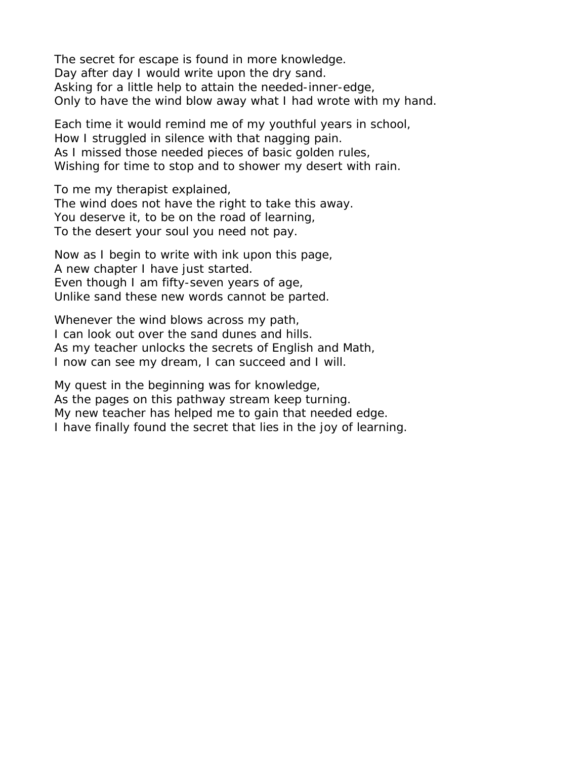The secret for escape is found in more knowledge. Day after day I would write upon the dry sand. Asking for a little help to attain the needed-inner-edge, Only to have the wind blow away what I had wrote with my hand.

Each time it would remind me of my youthful years in school, How I struggled in silence with that nagging pain. As I missed those needed pieces of basic golden rules, Wishing for time to stop and to shower my desert with rain.

To me my therapist explained, The wind does not have the right to take this away. You deserve it, to be on the road of learning, To the desert your soul you need not pay.

Now as I begin to write with ink upon this page, A new chapter I have just started. Even though I am fifty-seven years of age, Unlike sand these new words cannot be parted.

Whenever the wind blows across my path, I can look out over the sand dunes and hills. As my teacher unlocks the secrets of English and Math, I now can see my dream, I can succeed and I will.

My quest in the beginning was for knowledge, As the pages on this pathway stream keep turning. My new teacher has helped me to gain that needed edge. I have finally found the secret that lies in the joy of learning.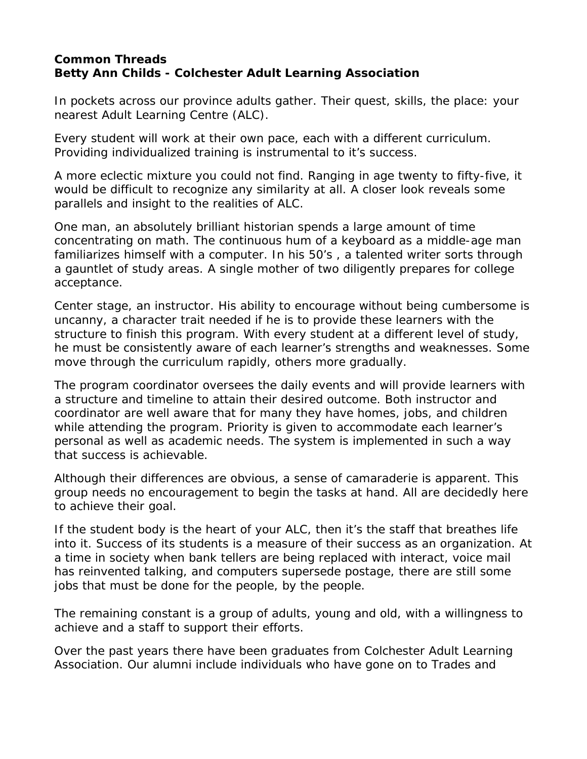## <span id="page-13-0"></span>**Common Threads Betty Ann Childs - Colchester Adult Learning Association**

In pockets across our province adults gather. Their quest, skills, the place: your nearest Adult Learning Centre (ALC).

Every student will work at their own pace, each with a different curriculum. Providing individualized training is instrumental to it's success.

A more eclectic mixture you could not find. Ranging in age twenty to fifty-five, it would be difficult to recognize any similarity at all. A closer look reveals some parallels and insight to the realities of ALC.

One man, an absolutely brilliant historian spends a large amount of time concentrating on math. The continuous hum of a keyboard as a middle-age man familiarizes himself with a computer. In his 50's , a talented writer sorts through a gauntlet of study areas. A single mother of two diligently prepares for college acceptance.

Center stage, an instructor. His ability to encourage without being cumbersome is uncanny, a character trait needed if he is to provide these learners with the structure to finish this program. With every student at a different level of study, he must be consistently aware of each learner's strengths and weaknesses. Some move through the curriculum rapidly, others more gradually.

The program coordinator oversees the daily events and will provide learners with a structure and timeline to attain their desired outcome. Both instructor and coordinator are well aware that for many they have homes, jobs, and children while attending the program. Priority is given to accommodate each learner's personal as well as academic needs. The system is implemented in such a way that success is achievable.

Although their differences are obvious, a sense of camaraderie is apparent. This group needs no encouragement to begin the tasks at hand. All are decidedly here to achieve their goal.

If the student body is the heart of your ALC, then it's the staff that breathes life into it. Success of its students is a measure of their success as an organization. At a time in society when bank tellers are being replaced with interact, voice mail has reinvented talking, and computers supersede postage, there are still some jobs that must be done for the people, by the people.

The remaining constant is a group of adults, young and old, with a willingness to achieve and a staff to support their efforts.

Over the past years there have been graduates from Colchester Adult Learning Association. Our alumni include individuals who have gone on to Trades and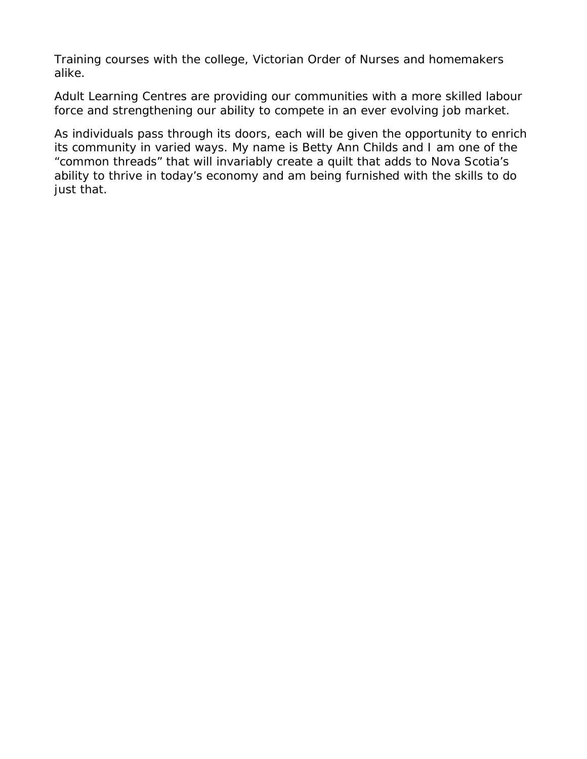Training courses with the college, Victorian Order of Nurses and homemakers alike.

Adult Learning Centres are providing our communities with a more skilled labour force and strengthening our ability to compete in an ever evolving job market.

As individuals pass through its doors, each will be given the opportunity to enrich its community in varied ways. My name is Betty Ann Childs and I am one of the "common threads" that will invariably create a quilt that adds to Nova Scotia's ability to thrive in today's economy and am being furnished with the skills to do just that.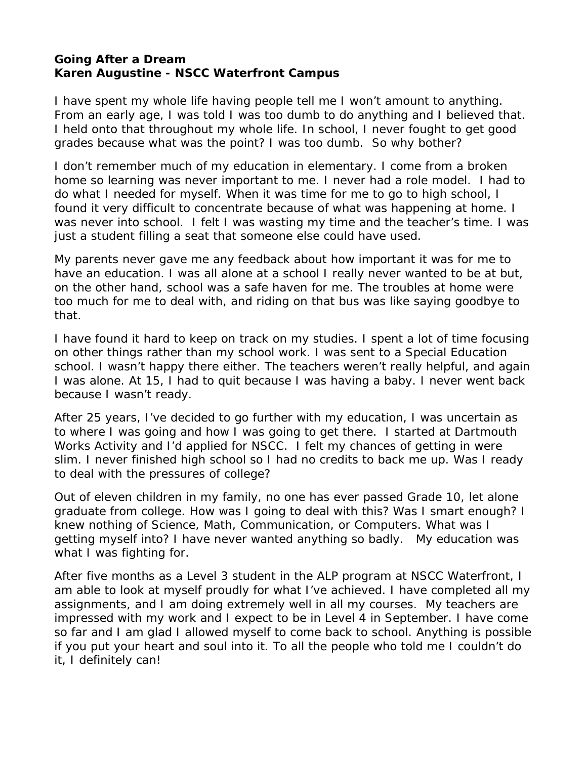#### <span id="page-15-0"></span>**Going After a Dream Karen Augustine - NSCC Waterfront Campus**

I have spent my whole life having people tell me I won't amount to anything. From an early age, I was told I was too dumb to do anything and I believed that. I held onto that throughout my whole life. In school, I never fought to get good grades because what was the point? I was too dumb. So why bother?

I don't remember much of my education in elementary. I come from a broken home so learning was never important to me. I never had a role model. I had to do what I needed for myself. When it was time for me to go to high school, I found it very difficult to concentrate because of what was happening at home. I was never into school. I felt I was wasting my time and the teacher's time. I was just a student filling a seat that someone else could have used.

My parents never gave me any feedback about how important it was for me to have an education. I was all alone at a school I really never wanted to be at but, on the other hand, school was a safe haven for me. The troubles at home were too much for me to deal with, and riding on that bus was like saying goodbye to that.

I have found it hard to keep on track on my studies. I spent a lot of time focusing on other things rather than my school work. I was sent to a Special Education school. I wasn't happy there either. The teachers weren't really helpful, and again I was alone. At 15, I had to quit because I was having a baby. I never went back because I wasn't ready.

After 25 years, I've decided to go further with my education, I was uncertain as to where I was going and how I was going to get there. I started at Dartmouth Works Activity and I'd applied for NSCC. I felt my chances of getting in were slim. I never finished high school so I had no credits to back me up. Was I ready to deal with the pressures of college?

Out of eleven children in my family, no one has ever passed Grade 10, let alone graduate from college. How was I going to deal with this? Was I smart enough? I knew nothing of Science, Math, Communication, or Computers. What was I getting myself into? I have never wanted anything so badly. My education was what I was fighting for.

After five months as a Level 3 student in the ALP program at NSCC Waterfront, I am able to look at myself proudly for what I've achieved. I have completed all my assignments, and I am doing extremely well in all my courses. My teachers are impressed with my work and I expect to be in Level 4 in September. I have come so far and I am glad I allowed myself to come back to school. Anything is possible if you put your heart and soul into it. To all the people who told me I couldn't do it, I definitely can!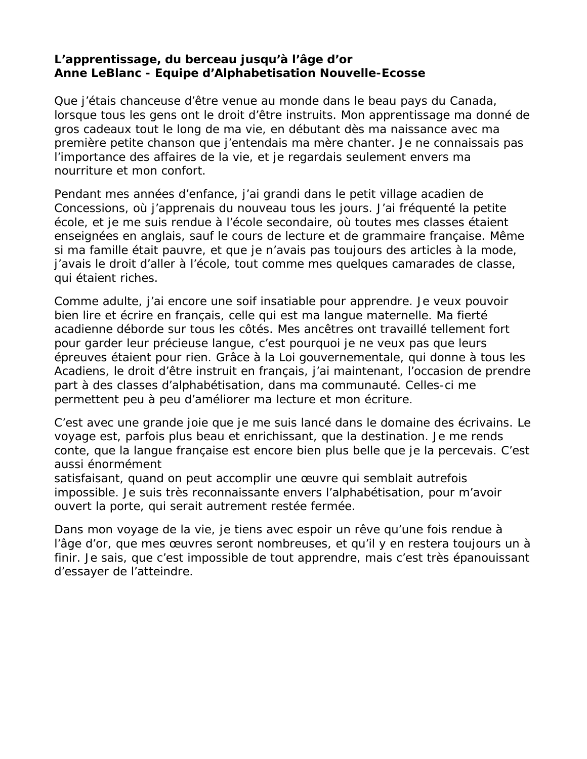## <span id="page-16-0"></span>**L'apprentissage, du berceau jusqu'à l'âge d'or Anne LeBlanc - Equipe d'Alphabetisation Nouvelle-Ecosse**

Que j'étais chanceuse d'être venue au monde dans le beau pays du Canada, lorsque tous les gens ont le droit d'être instruits. Mon apprentissage ma donné de gros cadeaux tout le long de ma vie, en débutant dès ma naissance avec ma première petite chanson que j'entendais ma mère chanter. Je ne connaissais pas l'importance des affaires de la vie, et je regardais seulement envers ma nourriture et mon confort.

Pendant mes années d'enfance, j'ai grandi dans le petit village acadien de Concessions, où j'apprenais du nouveau tous les jours. J'ai fréquenté la petite école, et je me suis rendue à l'école secondaire, où toutes mes classes étaient enseignées en anglais, sauf le cours de lecture et de grammaire française. Même si ma famille était pauvre, et que je n'avais pas toujours des articles à la mode, j'avais le droit d'aller à l'école, tout comme mes quelques camarades de classe, qui étaient riches.

Comme adulte, j'ai encore une soif insatiable pour apprendre. Je veux pouvoir bien lire et écrire en français, celle qui est ma langue maternelle. Ma fierté acadienne déborde sur tous les côtés. Mes ancêtres ont travaillé tellement fort pour garder leur précieuse langue, c'est pourquoi je ne veux pas que leurs épreuves étaient pour rien. Grâce à la Loi gouvernementale, qui donne à tous les Acadiens, le droit d'être instruit en français, j'ai maintenant, l'occasion de prendre part à des classes d'alphabétisation, dans ma communauté. Celles-ci me permettent peu à peu d'améliorer ma lecture et mon écriture.

C'est avec une grande joie que je me suis lancé dans le domaine des écrivains. Le voyage est, parfois plus beau et enrichissant, que la destination. Je me rends conte, que la langue française est encore bien plus belle que je la percevais. C'est aussi énormément

satisfaisant, quand on peut accomplir une œuvre qui semblait autrefois impossible. Je suis très reconnaissante envers l'alphabétisation, pour m'avoir ouvert la porte, qui serait autrement restée fermée.

Dans mon voyage de la vie, je tiens avec espoir un rêve qu'une fois rendue à l'âge d'or, que mes œuvres seront nombreuses, et qu'il y en restera toujours un à finir. Je sais, que c'est impossible de tout apprendre, mais c'est très épanouissant d'essayer de l'atteindre.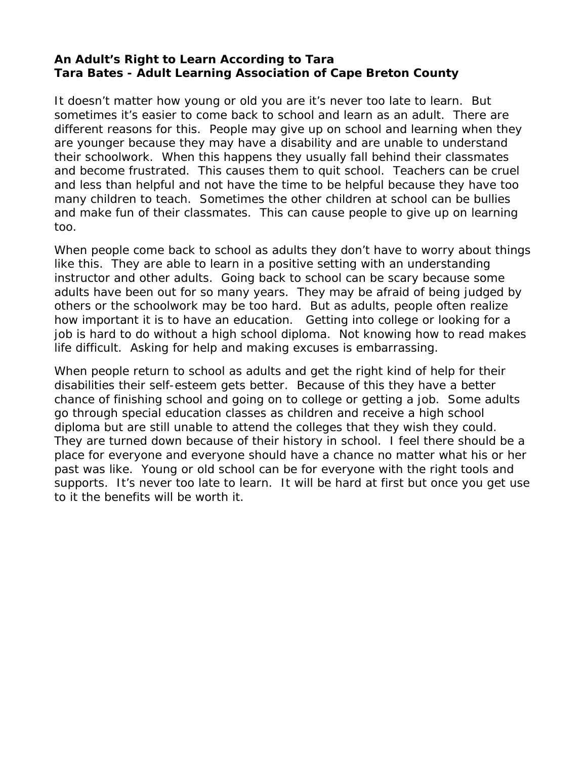## <span id="page-17-0"></span>**An Adult's Right to Learn According to Tara Tara Bates - Adult Learning Association of Cape Breton County**

It doesn't matter how young or old you are it's never too late to learn. But sometimes it's easier to come back to school and learn as an adult. There are different reasons for this. People may give up on school and learning when they are younger because they may have a disability and are unable to understand their schoolwork. When this happens they usually fall behind their classmates and become frustrated. This causes them to quit school. Teachers can be cruel and less than helpful and not have the time to be helpful because they have too many children to teach. Sometimes the other children at school can be bullies and make fun of their classmates. This can cause people to give up on learning too.

When people come back to school as adults they don't have to worry about things like this. They are able to learn in a positive setting with an understanding instructor and other adults. Going back to school can be scary because some adults have been out for so many years. They may be afraid of being judged by others or the schoolwork may be too hard. But as adults, people often realize how important it is to have an education. Getting into college or looking for a job is hard to do without a high school diploma. Not knowing how to read makes life difficult. Asking for help and making excuses is embarrassing.

When people return to school as adults and get the right kind of help for their disabilities their self-esteem gets better. Because of this they have a better chance of finishing school and going on to college or getting a job. Some adults go through special education classes as children and receive a high school diploma but are still unable to attend the colleges that they wish they could. They are turned down because of their history in school. I feel there should be a place for everyone and everyone should have a chance no matter what his or her past was like. Young or old school can be for everyone with the right tools and supports. It's never too late to learn. It will be hard at first but once you get use to it the benefits will be worth it.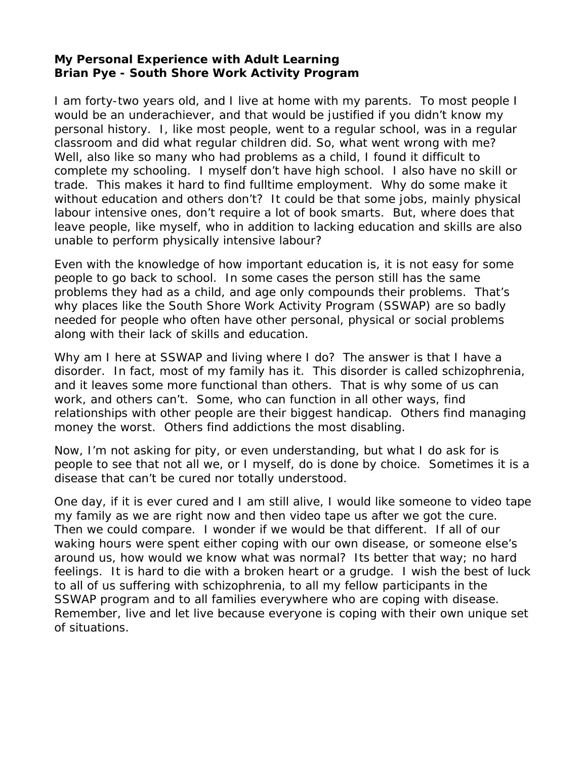## <span id="page-18-0"></span>**My Personal Experience with Adult Learning Brian Pye - South Shore Work Activity Program**

I am forty-two years old, and I live at home with my parents. To most people I would be an underachiever, and that would be justified if you didn't know my personal history. I, like most people, went to a regular school, was in a regular classroom and did what regular children did. So, what went wrong with me? Well, also like so many who had problems as a child, I found it difficult to complete my schooling. I myself don't have high school. I also have no skill or trade. This makes it hard to find fulltime employment. Why do some make it without education and others don't? It could be that some jobs, mainly physical labour intensive ones, don't require a lot of book smarts. But, where does that leave people, like myself, who in addition to lacking education and skills are also unable to perform physically intensive labour?

Even with the knowledge of how important education is, it is not easy for some people to go back to school. In some cases the person still has the same problems they had as a child, and age only compounds their problems. That's why places like the South Shore Work Activity Program (SSWAP) are so badly needed for people who often have other personal, physical or social problems along with their lack of skills and education.

Why am I here at SSWAP and living where I do? The answer is that I have a disorder. In fact, most of my family has it. This disorder is called schizophrenia, and it leaves some more functional than others. That is why some of us can work, and others can't. Some, who can function in all other ways, find relationships with other people are their biggest handicap. Others find managing money the worst. Others find addictions the most disabling.

Now, I'm not asking for pity, or even understanding, but what I do ask for is people to see that not all we, or I myself, do is done by choice. Sometimes it is a disease that can't be cured nor totally understood.

One day, if it is ever cured and I am still alive, I would like someone to video tape my family as we are right now and then video tape us after we got the cure. Then we could compare. I wonder if we would be that different. If all of our waking hours were spent either coping with our own disease, or someone else's around us, how would we know what was normal? Its better that way; no hard feelings. It is hard to die with a broken heart or a grudge. I wish the best of luck to all of us suffering with schizophrenia, to all my fellow participants in the SSWAP program and to all families everywhere who are coping with disease. Remember, live and let live because everyone is coping with their own unique set of situations.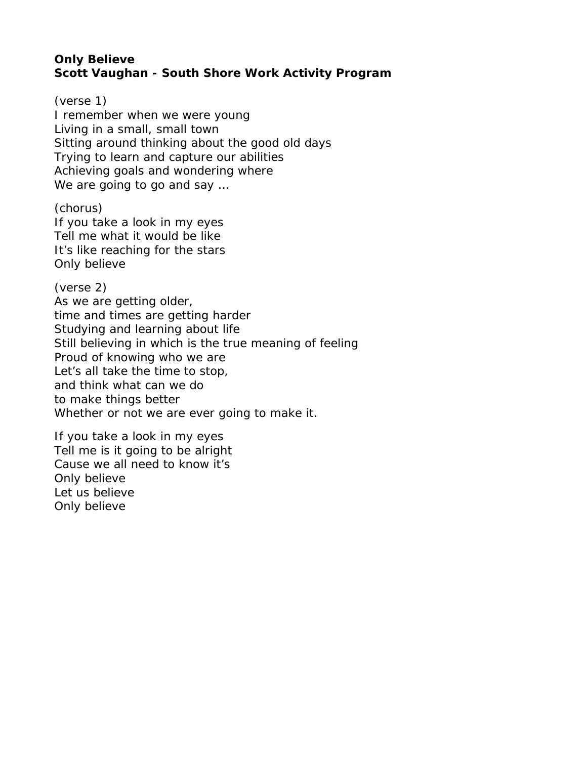### <span id="page-19-0"></span>**Only Believe Scott Vaughan - South Shore Work Activity Program**

(verse 1) I remember when we were young Living in a small, small town Sitting around thinking about the good old days Trying to learn and capture our abilities Achieving goals and wondering where We are going to go and say …

(chorus) If you take a look in my eyes Tell me what it would be like It's like reaching for the stars Only believe

(verse 2) As we are getting older, time and times are getting harder Studying and learning about life Still believing in which is the true meaning of feeling Proud of knowing who we are Let's all take the time to stop, and think what can we do to make things better Whether or not we are ever going to make it.

If you take a look in my eyes Tell me is it going to be alright Cause we all need to know it's Only believe Let us believe Only believe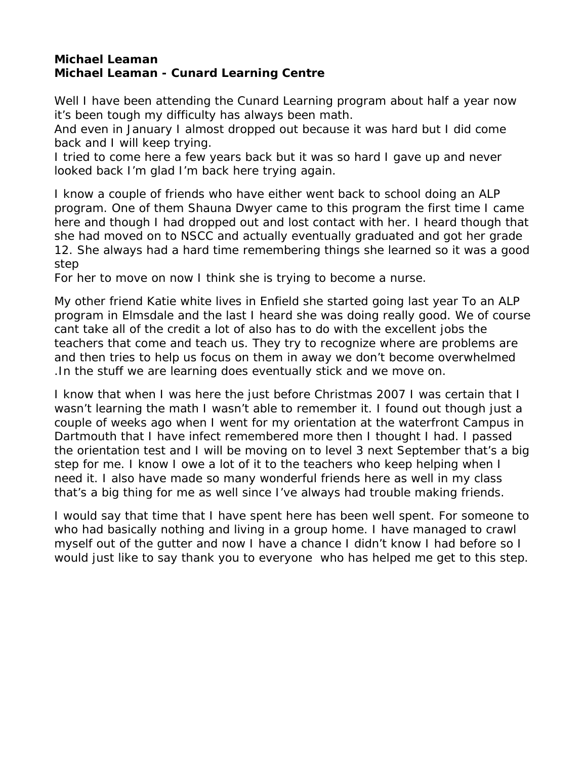#### <span id="page-20-0"></span>**Michael Leaman Michael Leaman - Cunard Learning Centre**

Well I have been attending the Cunard Learning program about half a year now it's been tough my difficulty has always been math.

And even in January I almost dropped out because it was hard but I did come back and I will keep trying.

I tried to come here a few years back but it was so hard I gave up and never looked back I'm glad I'm back here trying again.

I know a couple of friends who have either went back to school doing an ALP program. One of them Shauna Dwyer came to this program the first time I came here and though I had dropped out and lost contact with her. I heard though that she had moved on to NSCC and actually eventually graduated and got her grade 12. She always had a hard time remembering things she learned so it was a good step

For her to move on now I think she is trying to become a nurse.

My other friend Katie white lives in Enfield she started going last year To an ALP program in Elmsdale and the last I heard she was doing really good. We of course cant take all of the credit a lot of also has to do with the excellent jobs the teachers that come and teach us. They try to recognize where are problems are and then tries to help us focus on them in away we don't become overwhelmed .In the stuff we are learning does eventually stick and we move on.

I know that when I was here the just before Christmas 2007 I was certain that I wasn't learning the math I wasn't able to remember it. I found out though just a couple of weeks ago when I went for my orientation at the waterfront Campus in Dartmouth that I have infect remembered more then I thought I had. I passed the orientation test and I will be moving on to level 3 next September that's a big step for me. I know I owe a lot of it to the teachers who keep helping when I need it. I also have made so many wonderful friends here as well in my class that's a big thing for me as well since I've always had trouble making friends.

I would say that time that I have spent here has been well spent. For someone to who had basically nothing and living in a group home. I have managed to crawl myself out of the gutter and now I have a chance I didn't know I had before so I would just like to say thank you to everyone who has helped me get to this step.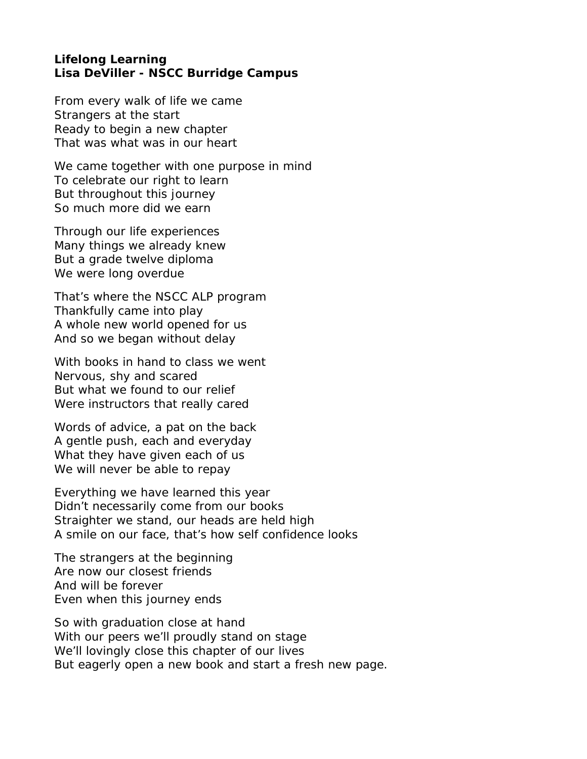#### <span id="page-21-0"></span>**Lifelong Learning Lisa DeViller - NSCC Burridge Campus**

From every walk of life we came Strangers at the start Ready to begin a new chapter That was what was in our heart

We came together with one purpose in mind To celebrate our right to learn But throughout this journey So much more did we earn

Through our life experiences Many things we already knew But a grade twelve diploma We were long overdue

That's where the NSCC ALP program Thankfully came into play A whole new world opened for us And so we began without delay

With books in hand to class we went Nervous, shy and scared But what we found to our relief Were instructors that really cared

Words of advice, a pat on the back A gentle push, each and everyday What they have given each of us We will never be able to repay

Everything we have learned this year Didn't necessarily come from our books Straighter we stand, our heads are held high A smile on our face, that's how self confidence looks

The strangers at the beginning Are now our closest friends And will be forever Even when this journey ends

So with graduation close at hand With our peers we'll proudly stand on stage We'll lovingly close this chapter of our lives But eagerly open a new book and start a fresh new page.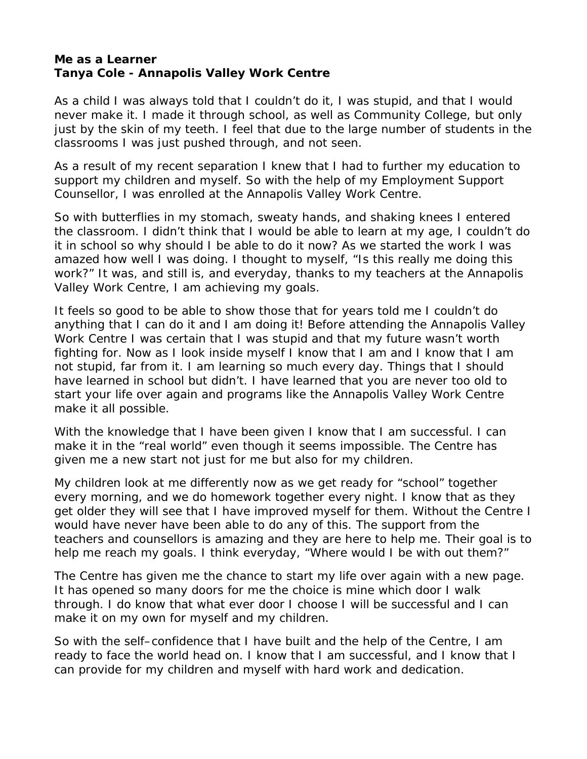#### <span id="page-22-0"></span>**Me as a Learner Tanya Cole - Annapolis Valley Work Centre**

As a child I was always told that I couldn't do it, I was stupid, and that I would never make it. I made it through school, as well as Community College, but only just by the skin of my teeth. I feel that due to the large number of students in the classrooms I was just pushed through, and not seen.

As a result of my recent separation I knew that I had to further my education to support my children and myself. So with the help of my Employment Support Counsellor, I was enrolled at the Annapolis Valley Work Centre.

So with butterflies in my stomach, sweaty hands, and shaking knees I entered the classroom. I didn't think that I would be able to learn at my age, I couldn't do it in school so why should I be able to do it now? As we started the work I was amazed how well I was doing. I thought to myself, "Is this really me doing this work?" It was, and still is, and everyday, thanks to my teachers at the Annapolis Valley Work Centre, I am achieving my goals.

It feels so good to be able to show those that for years told me I couldn't do anything that I can do it and I am doing it! Before attending the Annapolis Valley Work Centre I was certain that I was stupid and that my future wasn't worth fighting for. Now as I look inside myself I know that I am and I know that I am not stupid, far from it. I am learning so much every day. Things that I should have learned in school but didn't. I have learned that you are never too old to start your life over again and programs like the Annapolis Valley Work Centre make it all possible.

With the knowledge that I have been given I know that I am successful. I can make it in the "real world" even though it seems impossible. The Centre has given me a new start not just for me but also for my children.

My children look at me differently now as we get ready for "school" together every morning, and we do homework together every night. I know that as they get older they will see that I have improved myself for them. Without the Centre I would have never have been able to do any of this. The support from the teachers and counsellors is amazing and they are here to help me. Their goal is to help me reach my goals. I think everyday, "Where would I be with out them?"

The Centre has given me the chance to start my life over again with a new page. It has opened so many doors for me the choice is mine which door I walk through. I do know that what ever door I choose I will be successful and I can make it on my own for myself and my children.

So with the self–confidence that I have built and the help of the Centre, I am ready to face the world head on. I know that I am successful, and I know that I can provide for my children and myself with hard work and dedication.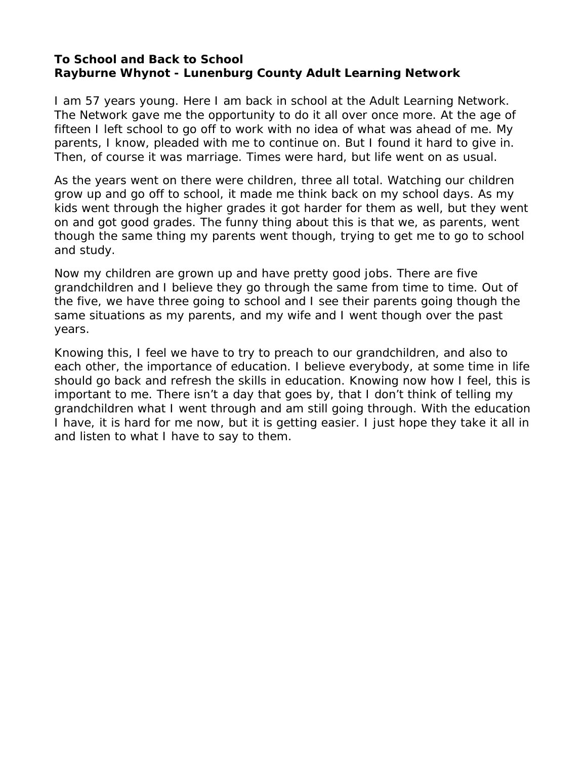#### <span id="page-23-0"></span>**To School and Back to School Rayburne Whynot - Lunenburg County Adult Learning Network**

I am 57 years young. Here I am back in school at the Adult Learning Network. The Network gave me the opportunity to do it all over once more. At the age of fifteen I left school to go off to work with no idea of what was ahead of me. My parents, I know, pleaded with me to continue on. But I found it hard to give in. Then, of course it was marriage. Times were hard, but life went on as usual.

As the years went on there were children, three all total. Watching our children grow up and go off to school, it made me think back on my school days. As my kids went through the higher grades it got harder for them as well, but they went on and got good grades. The funny thing about this is that we, as parents, went though the same thing my parents went though, trying to get me to go to school and study.

Now my children are grown up and have pretty good jobs. There are five grandchildren and I believe they go through the same from time to time. Out of the five, we have three going to school and I see their parents going though the same situations as my parents, and my wife and I went though over the past years.

Knowing this, I feel we have to try to preach to our grandchildren, and also to each other, the importance of education. I believe everybody, at some time in life should go back and refresh the skills in education. Knowing now how I feel, this is important to me. There isn't a day that goes by, that I don't think of telling my grandchildren what I went through and am still going through. With the education I have, it is hard for me now, but it is getting easier. I just hope they take it all in and listen to what I have to say to them.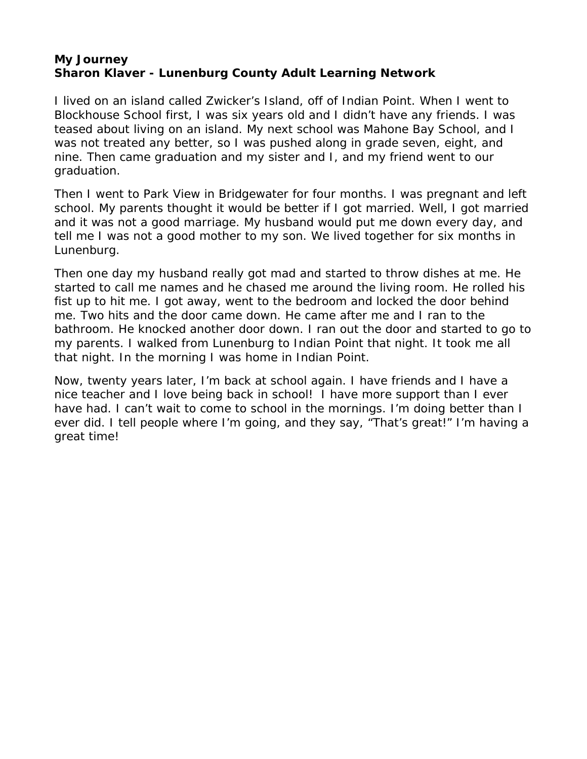### <span id="page-24-0"></span>**My Journey Sharon Klaver - Lunenburg County Adult Learning Network**

I lived on an island called Zwicker's Island, off of Indian Point. When I went to Blockhouse School first, I was six years old and I didn't have any friends. I was teased about living on an island. My next school was Mahone Bay School, and I was not treated any better, so I was pushed along in grade seven, eight, and nine. Then came graduation and my sister and I, and my friend went to our graduation.

Then I went to Park View in Bridgewater for four months. I was pregnant and left school. My parents thought it would be better if I got married. Well, I got married and it was not a good marriage. My husband would put me down every day, and tell me I was not a good mother to my son. We lived together for six months in Lunenburg.

Then one day my husband really got mad and started to throw dishes at me. He started to call me names and he chased me around the living room. He rolled his fist up to hit me. I got away, went to the bedroom and locked the door behind me. Two hits and the door came down. He came after me and I ran to the bathroom. He knocked another door down. I ran out the door and started to go to my parents. I walked from Lunenburg to Indian Point that night. It took me all that night. In the morning I was home in Indian Point.

Now, twenty years later, I'm back at school again. I have friends and I have a nice teacher and I love being back in school! I have more support than I ever have had. I can't wait to come to school in the mornings. I'm doing better than I ever did. I tell people where I'm going, and they say, "That's great!" I'm having a great time!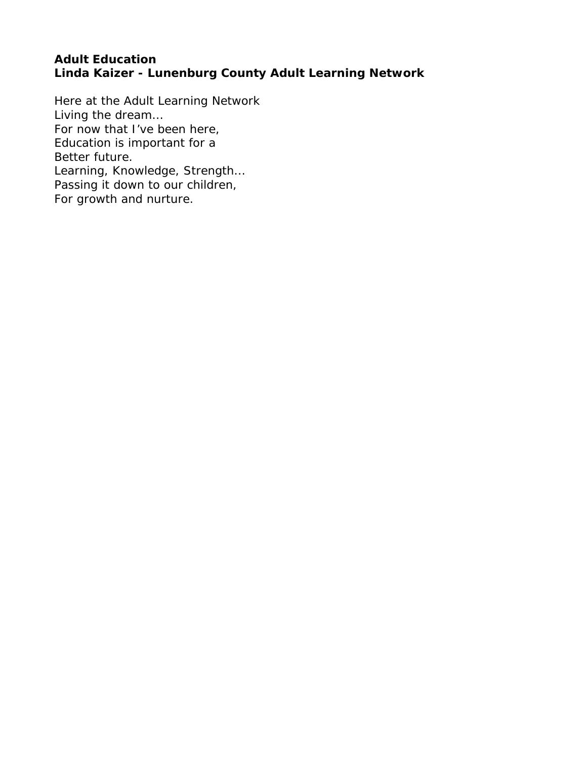### <span id="page-25-0"></span>**Adult Education Linda Kaizer - Lunenburg County Adult Learning Network**

Here at the Adult Learning Network Living the dream… For now that I've been here, Education is important for a Better future. Learning, Knowledge, Strength… Passing it down to our children, For growth and nurture.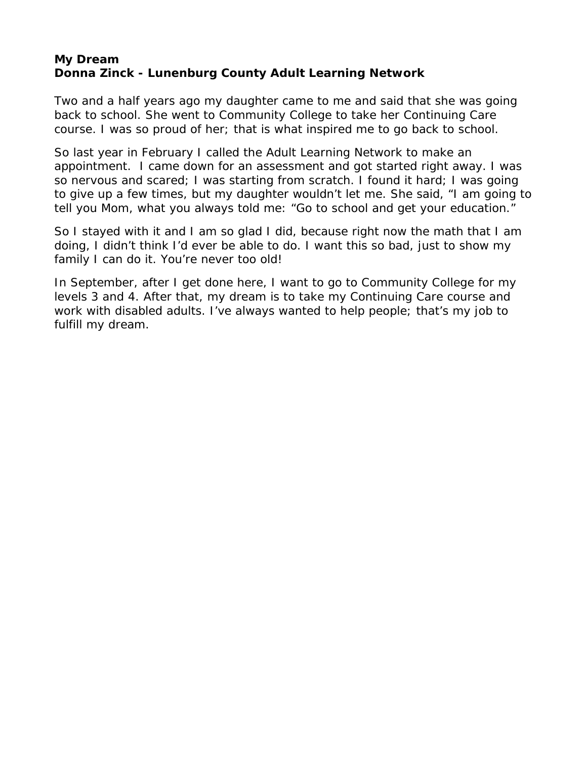## <span id="page-26-0"></span>**My Dream Donna Zinck - Lunenburg County Adult Learning Network**

Two and a half years ago my daughter came to me and said that she was going back to school. She went to Community College to take her Continuing Care course. I was so proud of her; that is what inspired me to go back to school.

So last year in February I called the Adult Learning Network to make an appointment. I came down for an assessment and got started right away. I was so nervous and scared; I was starting from scratch. I found it hard; I was going to give up a few times, but my daughter wouldn't let me. She said, "I am going to tell you Mom, what you always told me: "Go to school and get your education."

So I stayed with it and I am so glad I did, because right now the math that I am doing, I didn't think I'd ever be able to do. I want this so bad, just to show my family I can do it. You're never too old!

In September, after I get done here, I want to go to Community College for my levels 3 and 4. After that, my dream is to take my Continuing Care course and work with disabled adults. I've always wanted to help people; that's my job to fulfill my dream.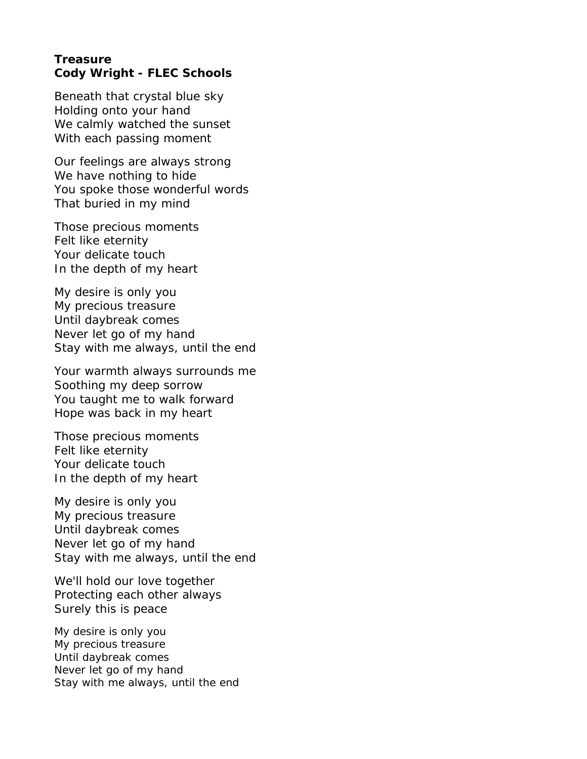#### <span id="page-27-0"></span>**Treasure Cody Wright - FLEC Schools**

Beneath that crystal blue sky Holding onto your hand We calmly watched the sunset With each passing moment

Our feelings are always strong We have nothing to hide You spoke those wonderful words That buried in my mind

Those precious moments Felt like eternity Your delicate touch In the depth of my heart

My desire is only you My precious treasure Until daybreak comes Never let go of my hand Stay with me always, until the end

Your warmth always surrounds me Soothing my deep sorrow You taught me to walk forward Hope was back in my heart

Those precious moments Felt like eternity Your delicate touch In the depth of my heart

My desire is only you My precious treasure Until daybreak comes Never let go of my hand Stay with me always, until the end

We'll hold our love together Protecting each other always Surely this is peace

My desire is only you My precious treasure Until daybreak comes Never let go of my hand Stay with me always, until the end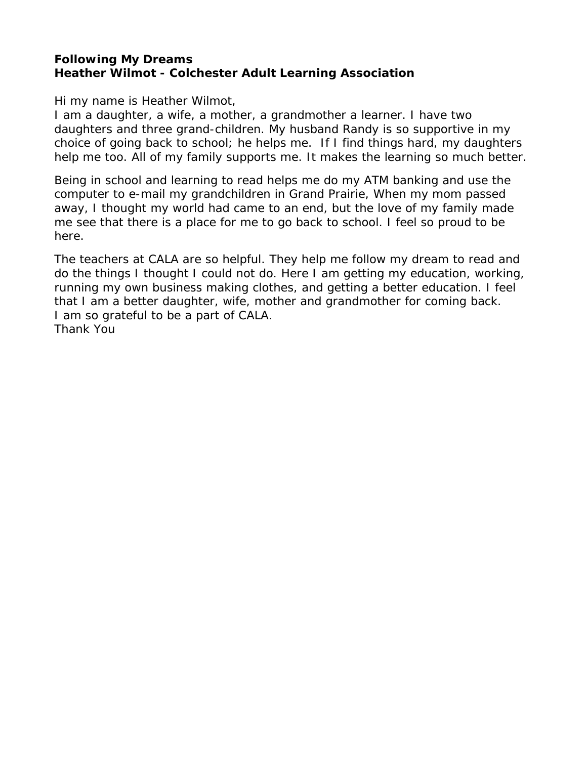## <span id="page-28-0"></span>**Following My Dreams Heather Wilmot - Colchester Adult Learning Association**

Hi my name is Heather Wilmot,

I am a daughter, a wife, a mother, a grandmother a learner. I have two daughters and three grand-children. My husband Randy is so supportive in my choice of going back to school; he helps me. If I find things hard, my daughters help me too. All of my family supports me. It makes the learning so much better.

Being in school and learning to read helps me do my ATM banking and use the computer to e-mail my grandchildren in Grand Prairie, When my mom passed away, I thought my world had came to an end, but the love of my family made me see that there is a place for me to go back to school. I feel so proud to be here.

The teachers at CALA are so helpful. They help me follow my dream to read and do the things I thought I could not do. Here I am getting my education, working, running my own business making clothes, and getting a better education. I feel that I am a better daughter, wife, mother and grandmother for coming back. I am so grateful to be a part of CALA. Thank You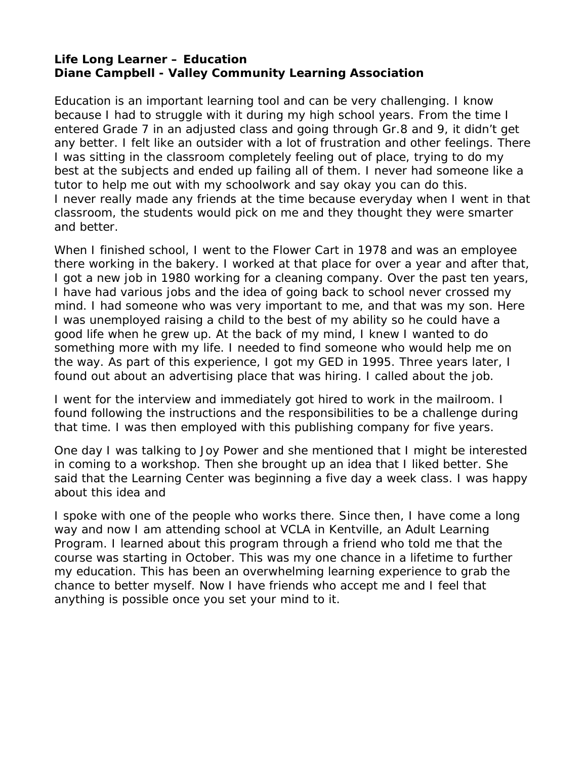#### <span id="page-29-0"></span>**Life Long Learner – Education Diane Campbell - Valley Community Learning Association**

Education is an important learning tool and can be very challenging. I know because I had to struggle with it during my high school years. From the time I entered Grade 7 in an adjusted class and going through Gr.8 and 9, it didn't get any better. I felt like an outsider with a lot of frustration and other feelings. There I was sitting in the classroom completely feeling out of place, trying to do my best at the subjects and ended up failing all of them. I never had someone like a tutor to help me out with my schoolwork and say okay you can do this. I never really made any friends at the time because everyday when I went in that classroom, the students would pick on me and they thought they were smarter and better.

When I finished school, I went to the Flower Cart in 1978 and was an employee there working in the bakery. I worked at that place for over a year and after that, I got a new job in 1980 working for a cleaning company. Over the past ten years, I have had various jobs and the idea of going back to school never crossed my mind. I had someone who was very important to me, and that was my son. Here I was unemployed raising a child to the best of my ability so he could have a good life when he grew up. At the back of my mind, I knew I wanted to do something more with my life. I needed to find someone who would help me on the way. As part of this experience, I got my GED in 1995. Three years later, I found out about an advertising place that was hiring. I called about the job.

I went for the interview and immediately got hired to work in the mailroom. I found following the instructions and the responsibilities to be a challenge during that time. I was then employed with this publishing company for five years.

One day I was talking to Joy Power and she mentioned that I might be interested in coming to a workshop. Then she brought up an idea that I liked better. She said that the Learning Center was beginning a five day a week class. I was happy about this idea and

I spoke with one of the people who works there. Since then, I have come a long way and now I am attending school at VCLA in Kentville, an Adult Learning Program. I learned about this program through a friend who told me that the course was starting in October. This was my one chance in a lifetime to further my education. This has been an overwhelming learning experience to grab the chance to better myself. Now I have friends who accept me and I feel that anything is possible once you set your mind to it.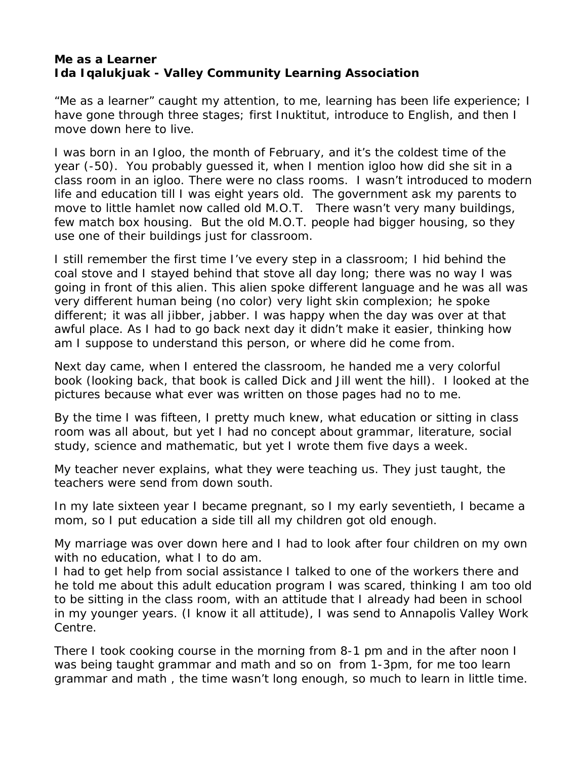## <span id="page-30-0"></span>**Me as a Learner Ida Iqalukjuak - Valley Community Learning Association**

"Me as a learner" caught my attention, to me, learning has been life experience; I have gone through three stages; first Inuktitut, introduce to English, and then I move down here to live.

I was born in an Igloo, the month of February, and it's the coldest time of the year (-50). You probably guessed it, when I mention igloo how did she sit in a class room in an igloo. There were no class rooms. I wasn't introduced to modern life and education till I was eight years old. The government ask my parents to move to little hamlet now called old M.O.T. There wasn't very many buildings, few match box housing. But the old M.O.T. people had bigger housing, so they use one of their buildings just for classroom.

I still remember the first time I've every step in a classroom; I hid behind the coal stove and I stayed behind that stove all day long; there was no way I was going in front of this alien. This alien spoke different language and he was all was very different human being (no color) very light skin complexion; he spoke different; it was all jibber, jabber. I was happy when the day was over at that awful place. As I had to go back next day it didn't make it easier, thinking how am I suppose to understand this person, or where did he come from.

Next day came, when I entered the classroom, he handed me a very colorful book (looking back, that book is called Dick and Jill went the hill). I looked at the pictures because what ever was written on those pages had no to me.

By the time I was fifteen, I pretty much knew, what education or sitting in class room was all about, but yet I had no concept about grammar, literature, social study, science and mathematic, but yet I wrote them five days a week.

My teacher never explains, what they were teaching us. They just taught, the teachers were send from down south.

In my late sixteen year I became pregnant, so I my early seventieth, I became a mom, so I put education a side till all my children got old enough.

My marriage was over down here and I had to look after four children on my own with no education, what I to do am.

I had to get help from social assistance I talked to one of the workers there and he told me about this adult education program I was scared, thinking I am too old to be sitting in the class room, with an attitude that I already had been in school in my younger years. (I know it all attitude), I was send to Annapolis Valley Work Centre.

There I took cooking course in the morning from 8-1 pm and in the after noon I was being taught grammar and math and so on from 1-3pm, for me too learn grammar and math , the time wasn't long enough, so much to learn in little time.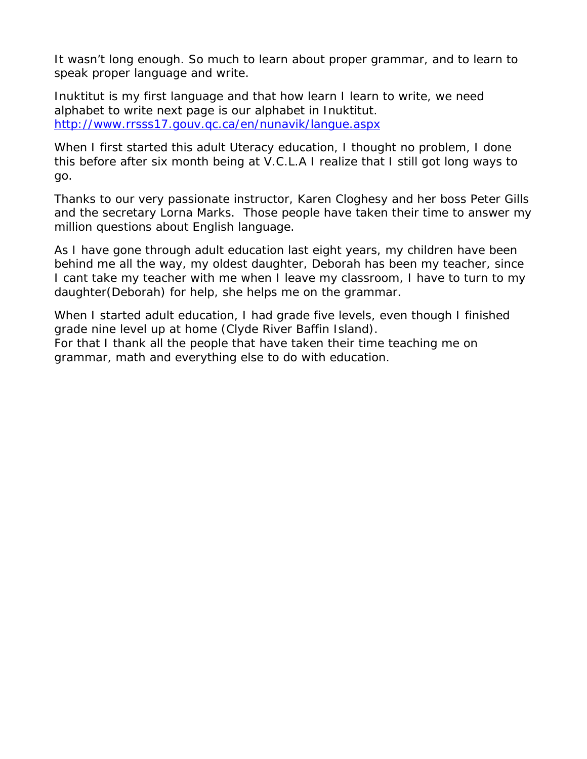It wasn't long enough. So much to learn about proper grammar, and to learn to speak proper language and write.

Inuktitut is my first language and that how learn I learn to write, we need alphabet to write next page is our alphabet in Inuktitut. <http://www.rrsss17.gouv.qc.ca/en/nunavik/langue.aspx>

When I first started this adult Uteracy education, I thought no problem, I done this before after six month being at V.C.L.A I realize that I still got long ways to go.

Thanks to our very passionate instructor, Karen Cloghesy and her boss Peter Gills and the secretary Lorna Marks. Those people have taken their time to answer my million questions about English language.

As I have gone through adult education last eight years, my children have been behind me all the way, my oldest daughter, Deborah has been my teacher, since I cant take my teacher with me when I leave my classroom, I have to turn to my daughter(Deborah) for help, she helps me on the grammar.

When I started adult education, I had grade five levels, even though I finished grade nine level up at home (Clyde River Baffin Island). For that I thank all the people that have taken their time teaching me on grammar, math and everything else to do with education.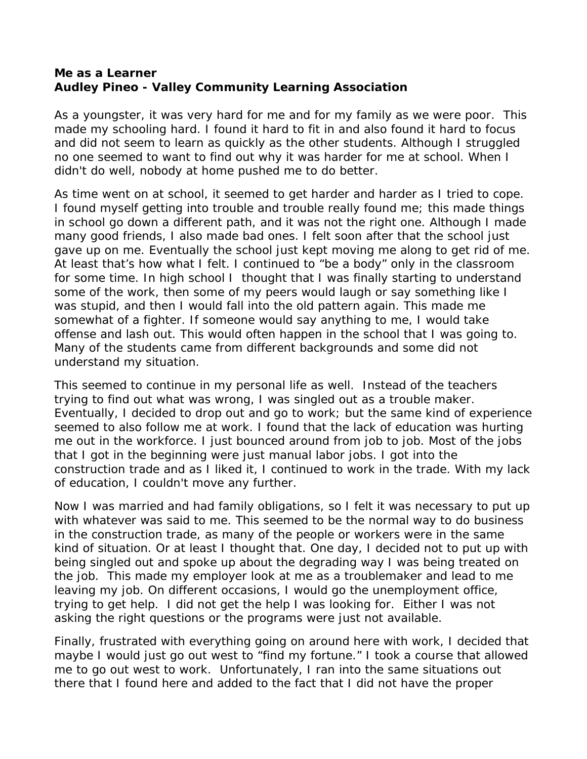### <span id="page-32-0"></span>**Me as a Learner Audley Pineo - Valley Community Learning Association**

As a youngster, it was very hard for me and for my family as we were poor. This made my schooling hard. I found it hard to fit in and also found it hard to focus and did not seem to learn as quickly as the other students. Although I struggled no one seemed to want to find out why it was harder for me at school. When I didn't do well, nobody at home pushed me to do better.

As time went on at school, it seemed to get harder and harder as I tried to cope. I found myself getting into trouble and trouble really found me; this made things in school go down a different path, and it was not the right one. Although I made many good friends, I also made bad ones. I felt soon after that the school just gave up on me. Eventually the school just kept moving me along to get rid of me. At least that's how what I felt. I continued to "be a body" only in the classroom for some time. In high school I thought that I was finally starting to understand some of the work, then some of my peers would laugh or say something like I was stupid, and then I would fall into the old pattern again. This made me somewhat of a fighter. If someone would say anything to me, I would take offense and lash out. This would often happen in the school that I was going to. Many of the students came from different backgrounds and some did not understand my situation.

This seemed to continue in my personal life as well. Instead of the teachers trying to find out what was wrong, I was singled out as a trouble maker. Eventually, I decided to drop out and go to work; but the same kind of experience seemed to also follow me at work. I found that the lack of education was hurting me out in the workforce. I just bounced around from job to job. Most of the jobs that I got in the beginning were just manual labor jobs. I got into the construction trade and as I liked it, I continued to work in the trade. With my lack of education, I couldn't move any further.

Now I was married and had family obligations, so I felt it was necessary to put up with whatever was said to me. This seemed to be the normal way to do business in the construction trade, as many of the people or workers were in the same kind of situation. Or at least I thought that. One day, I decided not to put up with being singled out and spoke up about the degrading way I was being treated on the job. This made my employer look at me as a troublemaker and lead to me leaving my job. On different occasions, I would go the unemployment office, trying to get help. I did not get the help I was looking for. Either I was not asking the right questions or the programs were just not available.

Finally, frustrated with everything going on around here with work, I decided that maybe I would just go out west to "find my fortune." I took a course that allowed me to go out west to work. Unfortunately, I ran into the same situations out there that I found here and added to the fact that I did not have the proper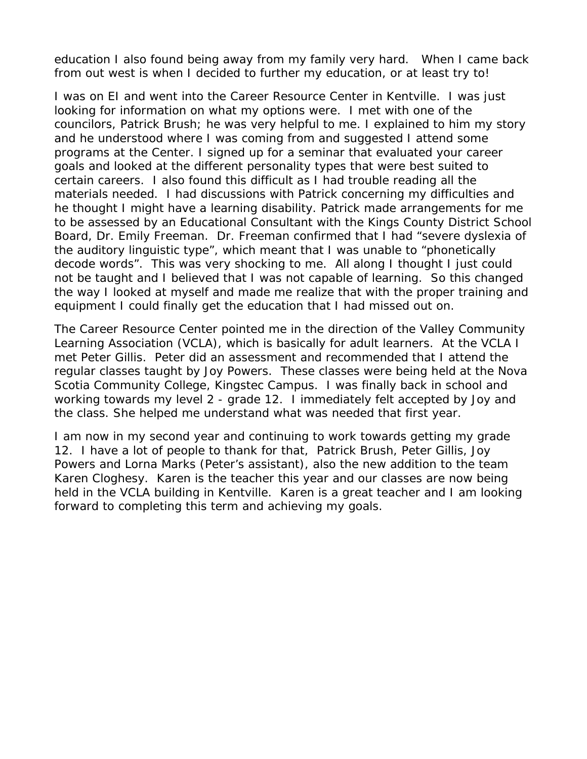education I also found being away from my family very hard. When I came back from out west is when I decided to further my education, or at least try to!

I was on EI and went into the Career Resource Center in Kentville. I was just looking for information on what my options were. I met with one of the councilors, Patrick Brush; he was very helpful to me. I explained to him my story and he understood where I was coming from and suggested I attend some programs at the Center. I signed up for a seminar that evaluated your career goals and looked at the different personality types that were best suited to certain careers. I also found this difficult as I had trouble reading all the materials needed. I had discussions with Patrick concerning my difficulties and he thought I might have a learning disability. Patrick made arrangements for me to be assessed by an Educational Consultant with the Kings County District School Board, Dr. Emily Freeman. Dr. Freeman confirmed that I had "severe dyslexia of the auditory linguistic type", which meant that I was unable to "phonetically decode words". This was very shocking to me. All along I thought I just could not be taught and I believed that I was not capable of learning. So this changed the way I looked at myself and made me realize that with the proper training and equipment I could finally get the education that I had missed out on.

The Career Resource Center pointed me in the direction of the Valley Community Learning Association (VCLA), which is basically for adult learners. At the VCLA I met Peter Gillis. Peter did an assessment and recommended that I attend the regular classes taught by Joy Powers. These classes were being held at the Nova Scotia Community College, Kingstec Campus. I was finally back in school and working towards my level 2 - grade 12. I immediately felt accepted by Joy and the class. She helped me understand what was needed that first year.

I am now in my second year and continuing to work towards getting my grade 12. I have a lot of people to thank for that, Patrick Brush, Peter Gillis, Joy Powers and Lorna Marks (Peter's assistant), also the new addition to the team Karen Cloghesy. Karen is the teacher this year and our classes are now being held in the VCLA building in Kentville. Karen is a great teacher and I am looking forward to completing this term and achieving my goals.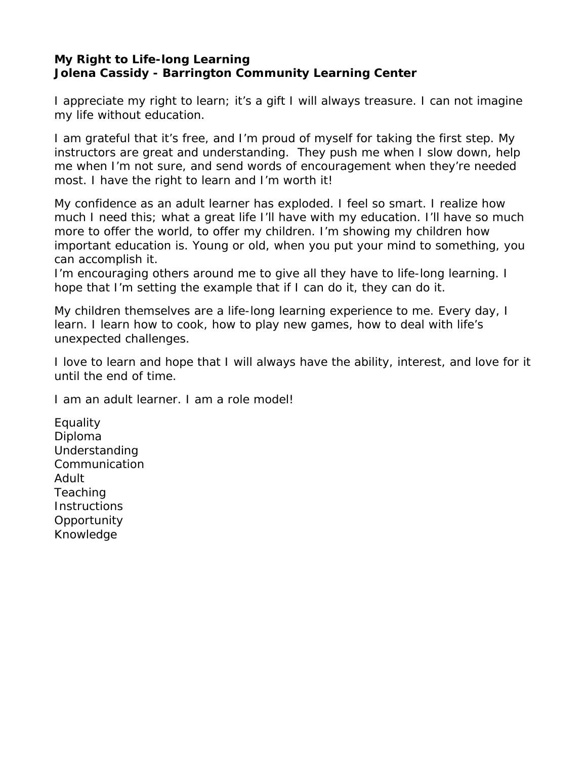## <span id="page-34-0"></span>**My Right to Life-long Learning Jolena Cassidy - Barrington Community Learning Center**

I appreciate my right to learn; it's a gift I will always treasure. I can not imagine my life without education.

I am grateful that it's free, and I'm proud of myself for taking the first step. My instructors are great and understanding. They push me when I slow down, help me when I'm not sure, and send words of encouragement when they're needed most. I have the right to learn and I'm worth it!

My confidence as an adult learner has exploded. I feel so smart. I realize how much I need this; what a great life I'll have with my education. I'll have so much more to offer the world, to offer my children. I'm showing my children how important education is. Young or old, when you put your mind to something, you can accomplish it.

I'm encouraging others around me to give all they have to life-long learning. I hope that I'm setting the example that if I can do it, they can do it.

My children themselves are a life-long learning experience to me. Every day, I learn. I learn how to cook, how to play new games, how to deal with life's unexpected challenges.

I love to learn and hope that I will always have the ability, interest, and love for it until the end of time.

I am an adult learner. I am a role model!

Equality Diploma Understanding Communication Adult Teaching **Instructions Opportunity** Knowledge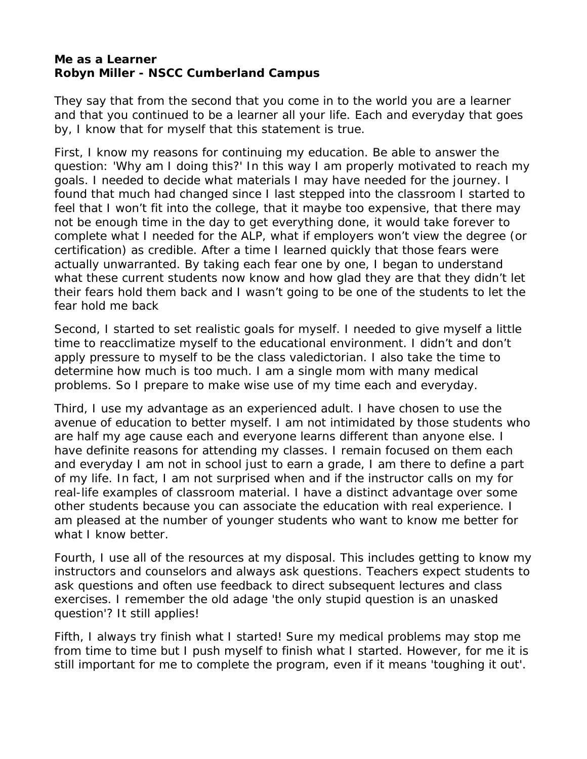#### <span id="page-35-0"></span>**Me as a Learner Robyn Miller - NSCC Cumberland Campus**

They say that from the second that you come in to the world you are a learner and that you continued to be a learner all your life. Each and everyday that goes by, I know that for myself that this statement is true.

First, I know my reasons for continuing my education. Be able to answer the question: 'Why am I doing this?' In this way I am properly motivated to reach my goals. I needed to decide what materials I may have needed for the journey. I found that much had changed since I last stepped into the classroom I started to feel that I won't fit into the college, that it maybe too expensive, that there may not be enough time in the day to get everything done, it would take forever to complete what I needed for the ALP, what if employers won't view the degree (or certification) as credible. After a time I learned quickly that those fears were actually unwarranted. By taking each fear one by one, I began to understand what these current students now know and how glad they are that they didn't let their fears hold them back and I wasn't going to be one of the students to let the fear hold me back

Second, I started to set realistic goals for myself. I needed to give myself a little time to reacclimatize myself to the educational environment. I didn't and don't apply pressure to myself to be the class valedictorian. I also take the time to determine how much is too much. I am a single mom with many medical problems. So I prepare to make wise use of my time each and everyday.

Third, I use my advantage as an experienced adult. I have chosen to use the avenue of education to better myself. I am not intimidated by those students who are half my age cause each and everyone learns different than anyone else. I have definite reasons for attending my classes. I remain focused on them each and everyday I am not in school just to earn a grade, I am there to define a part of my life. In fact, I am not surprised when and if the instructor calls on my for real-life examples of classroom material. I have a distinct advantage over some other students because you can associate the education with real experience. I am pleased at the number of younger students who want to know me better for what I know better.

Fourth, I use all of the resources at my disposal. This includes getting to know my instructors and counselors and always ask questions. Teachers expect students to ask questions and often use feedback to direct subsequent lectures and class exercises. I remember the old adage 'the only stupid question is an unasked question'? It still applies!

Fifth, I always try finish what I started! Sure my medical problems may stop me from time to time but I push myself to finish what I started. However, for me it is still important for me to complete the program, even if it means 'toughing it out'.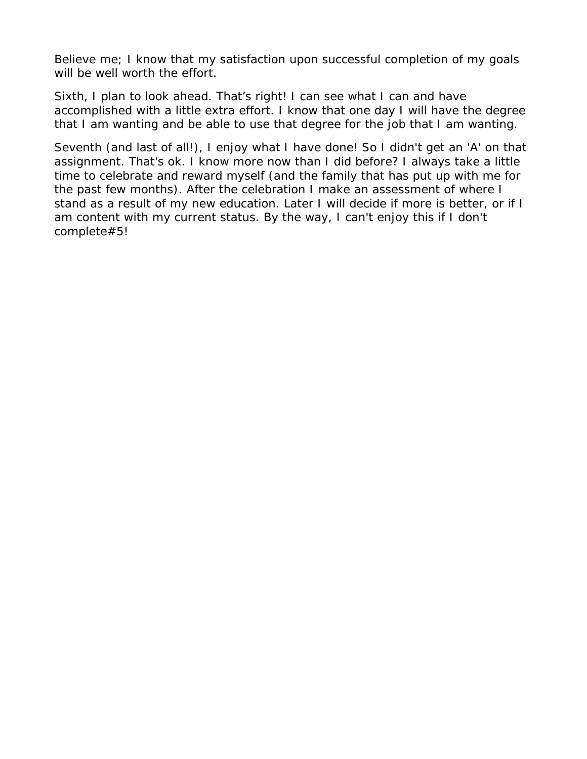Believe me; I know that my satisfaction upon successful completion of my goals will be well worth the effort.

Sixth, I plan to look ahead. That's right! I can see what I can and have accomplished with a little extra effort. I know that one day I will have the degree that I am wanting and be able to use that degree for the job that I am wanting.

Seventh (and last of all!), I enjoy what I have done! So I didn't get an 'A' on that assignment. That's ok. I know more now than I did before? I always take a little time to celebrate and reward myself (and the family that has put up with me for the past few months). After the celebration I make an assessment of where I stand as a result of my new education. Later I will decide if more is better, or if I am content with my current status. By the way, I can't enjoy this if I don't complete#5!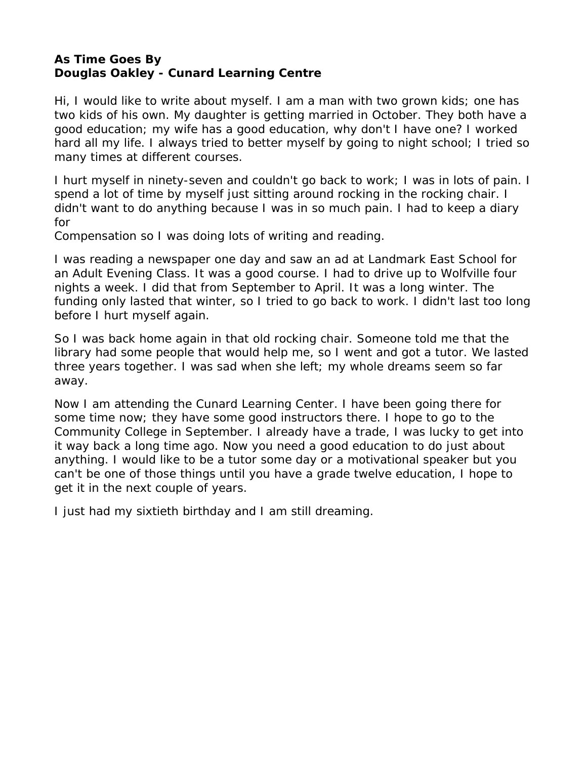### <span id="page-37-0"></span>**As Time Goes By Douglas Oakley - Cunard Learning Centre**

Hi, I would like to write about myself. I am a man with two grown kids; one has two kids of his own. My daughter is getting married in October. They both have a good education; my wife has a good education, why don't I have one? I worked hard all my life. I always tried to better myself by going to night school; I tried so many times at different courses.

I hurt myself in ninety-seven and couldn't go back to work; I was in lots of pain. I spend a lot of time by myself just sitting around rocking in the rocking chair. I didn't want to do anything because I was in so much pain. I had to keep a diary for

Compensation so I was doing lots of writing and reading.

I was reading a newspaper one day and saw an ad at Landmark East School for an Adult Evening Class. It was a good course. I had to drive up to Wolfville four nights a week. I did that from September to April. It was a long winter. The funding only lasted that winter, so I tried to go back to work. I didn't last too long before I hurt myself again.

So I was back home again in that old rocking chair. Someone told me that the library had some people that would help me, so I went and got a tutor. We lasted three years together. I was sad when she left; my whole dreams seem so far away.

Now I am attending the Cunard Learning Center. I have been going there for some time now; they have some good instructors there. I hope to go to the Community College in September. I already have a trade, I was lucky to get into it way back a long time ago. Now you need a good education to do just about anything. I would like to be a tutor some day or a motivational speaker but you can't be one of those things until you have a grade twelve education, I hope to get it in the next couple of years.

I just had my sixtieth birthday and I am still dreaming.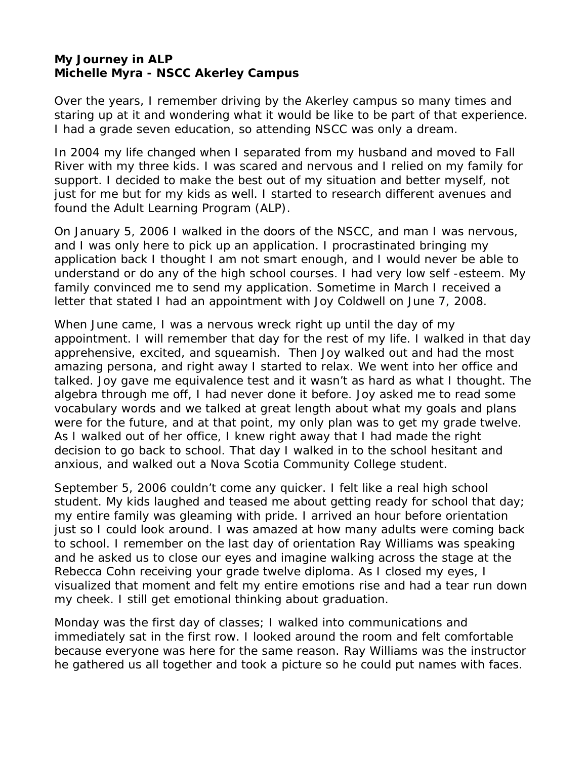#### <span id="page-38-0"></span>**My Journey in ALP Michelle Myra - NSCC Akerley Campus**

Over the years, I remember driving by the Akerley campus so many times and staring up at it and wondering what it would be like to be part of that experience. I had a grade seven education, so attending NSCC was only a dream.

In 2004 my life changed when I separated from my husband and moved to Fall River with my three kids. I was scared and nervous and I relied on my family for support. I decided to make the best out of my situation and better myself, not just for me but for my kids as well. I started to research different avenues and found the Adult Learning Program (ALP).

On January 5, 2006 I walked in the doors of the NSCC, and man I was nervous, and I was only here to pick up an application. I procrastinated bringing my application back I thought I am not smart enough, and I would never be able to understand or do any of the high school courses. I had very low self -esteem. My family convinced me to send my application. Sometime in March I received a letter that stated I had an appointment with Joy Coldwell on June 7, 2008.

When June came, I was a nervous wreck right up until the day of my appointment. I will remember that day for the rest of my life. I walked in that day apprehensive, excited, and squeamish. Then Joy walked out and had the most amazing persona, and right away I started to relax. We went into her office and talked. Joy gave me equivalence test and it wasn't as hard as what I thought. The algebra through me off, I had never done it before. Joy asked me to read some vocabulary words and we talked at great length about what my goals and plans were for the future, and at that point, my only plan was to get my grade twelve. As I walked out of her office, I knew right away that I had made the right decision to go back to school. That day I walked in to the school hesitant and anxious, and walked out a Nova Scotia Community College student.

September 5, 2006 couldn't come any quicker. I felt like a real high school student. My kids laughed and teased me about getting ready for school that day; my entire family was gleaming with pride. I arrived an hour before orientation just so I could look around. I was amazed at how many adults were coming back to school. I remember on the last day of orientation Ray Williams was speaking and he asked us to close our eyes and imagine walking across the stage at the Rebecca Cohn receiving your grade twelve diploma. As I closed my eyes, I visualized that moment and felt my entire emotions rise and had a tear run down my cheek. I still get emotional thinking about graduation.

Monday was the first day of classes; I walked into communications and immediately sat in the first row. I looked around the room and felt comfortable because everyone was here for the same reason. Ray Williams was the instructor he gathered us all together and took a picture so he could put names with faces.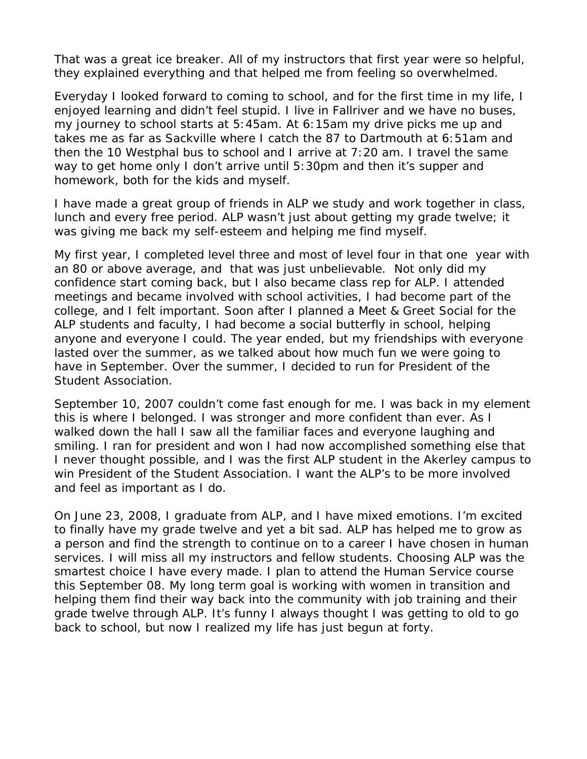That was a great ice breaker. All of my instructors that first year were so helpful, they explained everything and that helped me from feeling so overwhelmed.

Everyday I looked forward to coming to school, and for the first time in my life, I enjoyed learning and didn't feel stupid. I live in Fallriver and we have no buses, my journey to school starts at 5:45am. At 6:15am my drive picks me up and takes me as far as Sackville where I catch the 87 to Dartmouth at 6:51am and then the 10 Westphal bus to school and I arrive at 7:20 am. I travel the same way to get home only I don't arrive until 5:30pm and then it's supper and homework, both for the kids and myself.

I have made a great group of friends in ALP we study and work together in class, lunch and every free period. ALP wasn't just about getting my grade twelve; it was giving me back my self-esteem and helping me find myself.

My first year, I completed level three and most of level four in that one year with an 80 or above average, and that was just unbelievable. Not only did my confidence start coming back, but I also became class rep for ALP. I attended meetings and became involved with school activities, I had become part of the college, and I felt important. Soon after I planned a Meet & Greet Social for the ALP students and faculty, I had become a social butterfly in school, helping anyone and everyone I could. The year ended, but my friendships with everyone lasted over the summer, as we talked about how much fun we were going to have in September. Over the summer, I decided to run for President of the Student Association.

September 10, 2007 couldn't come fast enough for me. I was back in my element this is where I belonged. I was stronger and more confident than ever. As I walked down the hall I saw all the familiar faces and everyone laughing and smiling. I ran for president and won I had now accomplished something else that I never thought possible, and I was the first ALP student in the Akerley campus to win President of the Student Association. I want the ALP's to be more involved and feel as important as I do.

On June 23, 2008, I graduate from ALP, and I have mixed emotions. I'm excited to finally have my grade twelve and yet a bit sad. ALP has helped me to grow as a person and find the strength to continue on to a career I have chosen in human services. I will miss all my instructors and fellow students. Choosing ALP was the smartest choice I have every made. I plan to attend the Human Service course this September 08. My long term goal is working with women in transition and helping them find their way back into the community with job training and their grade twelve through ALP. It's funny I always thought I was getting to old to go back to school, but now I realized my life has just begun at forty.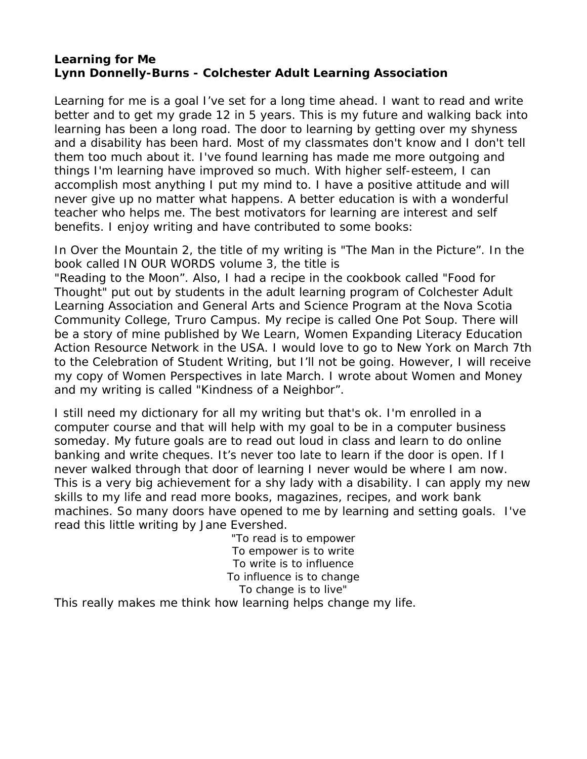## <span id="page-40-0"></span>**Learning for Me Lynn Donnelly-Burns - Colchester Adult Learning Association**

Learning for me is a goal I've set for a long time ahead. I want to read and write better and to get my grade 12 in 5 years. This is my future and walking back into learning has been a long road. The door to learning by getting over my shyness and a disability has been hard. Most of my classmates don't know and I don't tell them too much about it. I've found learning has made me more outgoing and things I'm learning have improved so much. With higher self-esteem, I can accomplish most anything I put my mind to. I have a positive attitude and will never give up no matter what happens. A better education is with a wonderful teacher who helps me. The best motivators for learning are interest and self benefits. I enjoy writing and have contributed to some books:

In Over the Mountain 2, the title of my writing is "The Man in the Picture". In the book called IN OUR WORDS volume 3, the title is

"Reading to the Moon". Also, I had a recipe in the cookbook called "Food for Thought" put out by students in the adult learning program of Colchester Adult Learning Association and General Arts and Science Program at the Nova Scotia Community College, Truro Campus. My recipe is called One Pot Soup. There will be a story of mine published by We Learn, Women Expanding Literacy Education Action Resource Network in the USA. I would love to go to New York on March 7th to the Celebration of Student Writing, but I'll not be going. However, I will receive my copy of Women Perspectives in late March. I wrote about Women and Money and my writing is called "Kindness of a Neighbor".

I still need my dictionary for all my writing but that's ok. I'm enrolled in a computer course and that will help with my goal to be in a computer business someday. My future goals are to read out loud in class and learn to do online banking and write cheques. It's never too late to learn if the door is open. If I never walked through that door of learning I never would be where I am now. This is a very big achievement for a shy lady with a disability. I can apply my new skills to my life and read more books, magazines, recipes, and work bank machines. So many doors have opened to me by learning and setting goals. I've read this little writing by Jane Evershed.

"To read is to empower To empower is to write To write is to influence To influence is to change To change is to live"

This really makes me think how learning helps change my life.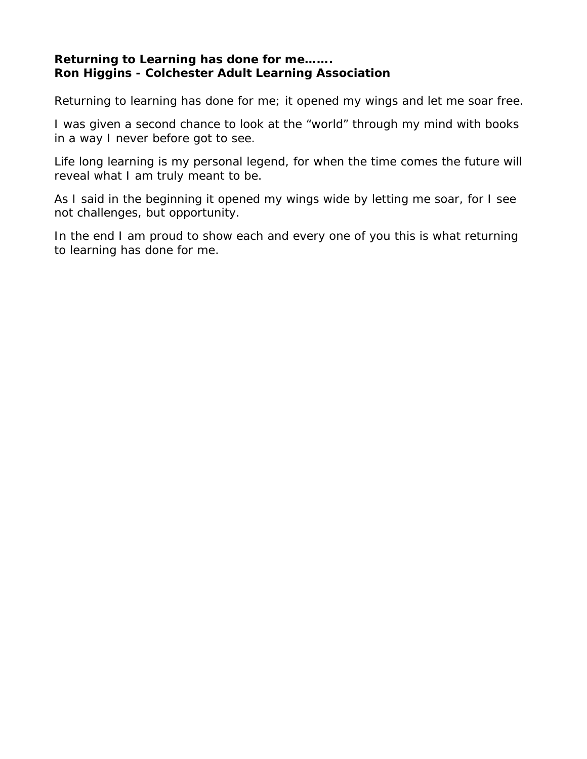## <span id="page-41-0"></span>**Returning to Learning has done for me……. Ron Higgins - Colchester Adult Learning Association**

Returning to learning has done for me; it opened my wings and let me soar free.

I was given a second chance to look at the "world" through my mind with books in a way I never before got to see.

Life long learning is my personal legend, for when the time comes the future will reveal what I am truly meant to be.

As I said in the beginning it opened my wings wide by letting me soar, for I see not challenges, but opportunity.

In the end I am proud to show each and every one of you this is what returning to learning has done for me.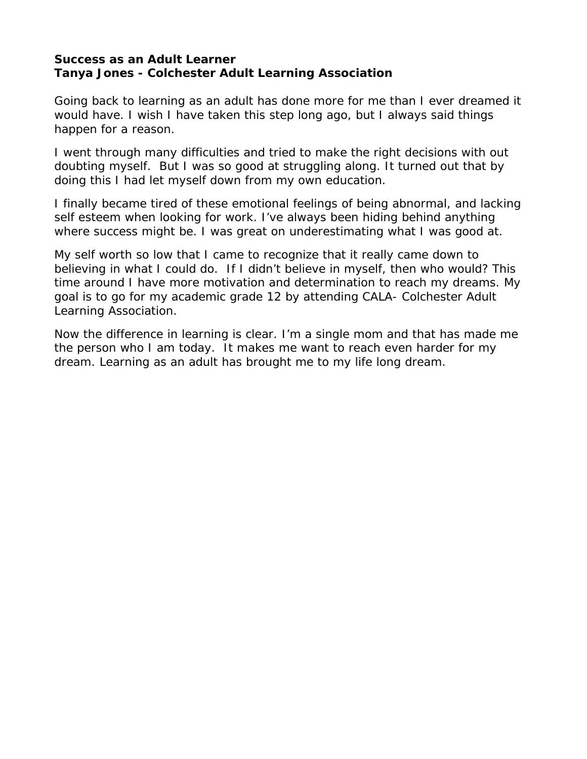#### <span id="page-42-0"></span>**Success as an Adult Learner Tanya Jones - Colchester Adult Learning Association**

Going back to learning as an adult has done more for me than I ever dreamed it would have. I wish I have taken this step long ago, but I always said things happen for a reason.

I went through many difficulties and tried to make the right decisions with out doubting myself. But I was so good at struggling along. It turned out that by doing this I had let myself down from my own education.

I finally became tired of these emotional feelings of being abnormal, and lacking self esteem when looking for work. I've always been hiding behind anything where success might be. I was great on underestimating what I was good at.

My self worth so low that I came to recognize that it really came down to believing in what I could do. If I didn't believe in myself, then who would? This time around I have more motivation and determination to reach my dreams. My goal is to go for my academic grade 12 by attending CALA- Colchester Adult Learning Association.

Now the difference in learning is clear. I'm a single mom and that has made me the person who I am today. It makes me want to reach even harder for my dream. Learning as an adult has brought me to my life long dream.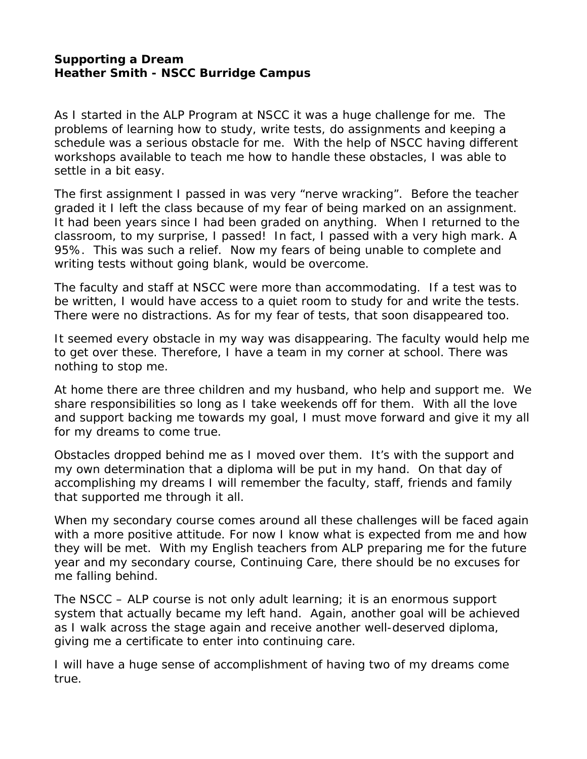#### <span id="page-43-0"></span>**Supporting a Dream Heather Smith - NSCC Burridge Campus**

As I started in the ALP Program at NSCC it was a huge challenge for me. The problems of learning how to study, write tests, do assignments and keeping a schedule was a serious obstacle for me. With the help of NSCC having different workshops available to teach me how to handle these obstacles, I was able to settle in a bit easy.

The first assignment I passed in was very "nerve wracking". Before the teacher graded it I left the class because of my fear of being marked on an assignment. It had been years since I had been graded on anything. When I returned to the classroom, to my surprise, I passed! In fact, I passed with a very high mark. A 95%. This was such a relief. Now my fears of being unable to complete and writing tests without going blank, would be overcome.

The faculty and staff at NSCC were more than accommodating. If a test was to be written, I would have access to a quiet room to study for and write the tests. There were no distractions. As for my fear of tests, that soon disappeared too.

It seemed every obstacle in my way was disappearing. The faculty would help me to get over these. Therefore, I have a team in my corner at school. There was nothing to stop me.

At home there are three children and my husband, who help and support me. We share responsibilities so long as I take weekends off for them. With all the love and support backing me towards my goal, I must move forward and give it my all for my dreams to come true.

Obstacles dropped behind me as I moved over them. It's with the support and my own determination that a diploma will be put in my hand. On that day of accomplishing my dreams I will remember the faculty, staff, friends and family that supported me through it all.

When my secondary course comes around all these challenges will be faced again with a more positive attitude. For now I know what is expected from me and how they will be met. With my English teachers from ALP preparing me for the future year and my secondary course, Continuing Care, there should be no excuses for me falling behind.

The NSCC – ALP course is not only adult learning; it is an enormous support system that actually became my left hand. Again, another goal will be achieved as I walk across the stage again and receive another well-deserved diploma, giving me a certificate to enter into continuing care.

I will have a huge sense of accomplishment of having two of my dreams come true.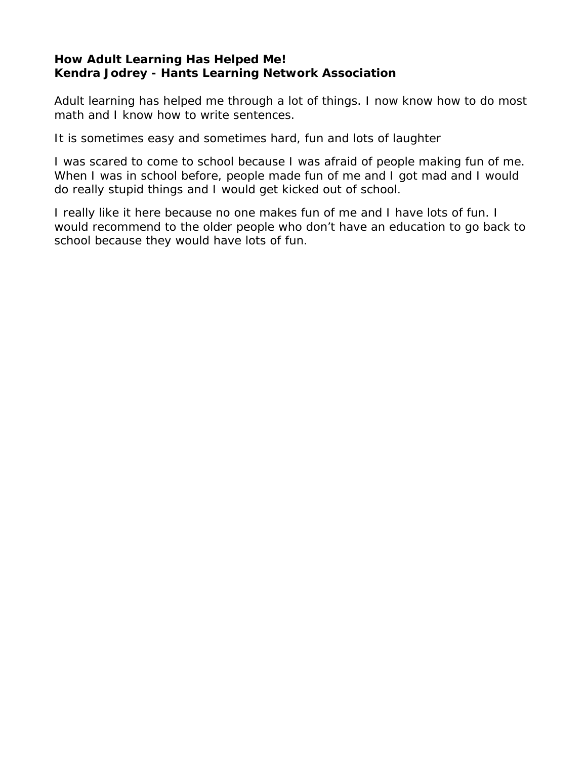## <span id="page-44-0"></span>**How Adult Learning Has Helped Me! Kendra Jodrey - Hants Learning Network Association**

Adult learning has helped me through a lot of things. I now know how to do most math and I know how to write sentences.

It is sometimes easy and sometimes hard, fun and lots of laughter

I was scared to come to school because I was afraid of people making fun of me. When I was in school before, people made fun of me and I got mad and I would do really stupid things and I would get kicked out of school.

I really like it here because no one makes fun of me and I have lots of fun. I would recommend to the older people who don't have an education to go back to school because they would have lots of fun.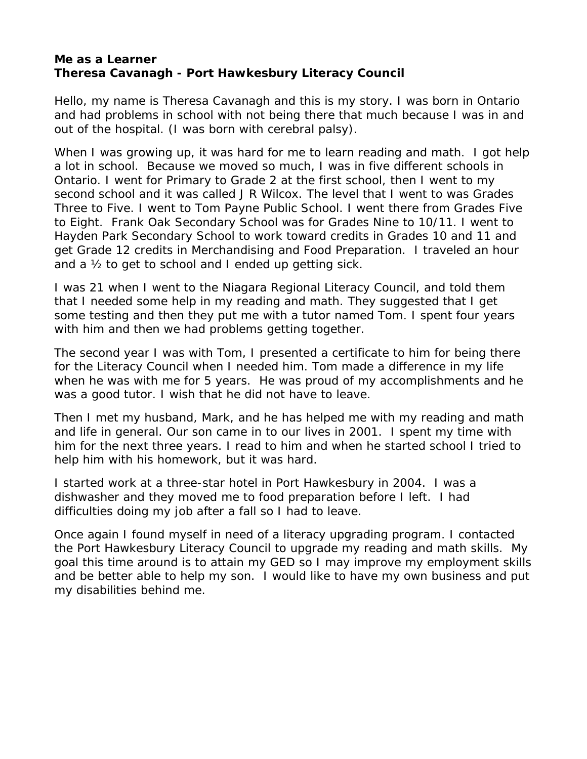#### <span id="page-45-0"></span>**Me as a Learner Theresa Cavanagh - Port Hawkesbury Literacy Council**

Hello, my name is Theresa Cavanagh and this is my story. I was born in Ontario and had problems in school with not being there that much because I was in and out of the hospital. (I was born with cerebral palsy).

When I was growing up, it was hard for me to learn reading and math. I got help a lot in school. Because we moved so much, I was in five different schools in Ontario. I went for Primary to Grade 2 at the first school, then I went to my second school and it was called J R Wilcox. The level that I went to was Grades Three to Five. I went to Tom Payne Public School. I went there from Grades Five to Eight. Frank Oak Secondary School was for Grades Nine to 10/11. I went to Hayden Park Secondary School to work toward credits in Grades 10 and 11 and get Grade 12 credits in Merchandising and Food Preparation. I traveled an hour and a ½ to get to school and I ended up getting sick.

I was 21 when I went to the Niagara Regional Literacy Council, and told them that I needed some help in my reading and math. They suggested that I get some testing and then they put me with a tutor named Tom. I spent four years with him and then we had problems getting together.

The second year I was with Tom, I presented a certificate to him for being there for the Literacy Council when I needed him. Tom made a difference in my life when he was with me for 5 years. He was proud of my accomplishments and he was a good tutor. I wish that he did not have to leave.

Then I met my husband, Mark, and he has helped me with my reading and math and life in general. Our son came in to our lives in 2001. I spent my time with him for the next three years. I read to him and when he started school I tried to help him with his homework, but it was hard.

I started work at a three-star hotel in Port Hawkesbury in 2004. I was a dishwasher and they moved me to food preparation before I left. I had difficulties doing my job after a fall so I had to leave.

Once again I found myself in need of a literacy upgrading program. I contacted the Port Hawkesbury Literacy Council to upgrade my reading and math skills. My goal this time around is to attain my GED so I may improve my employment skills and be better able to help my son. I would like to have my own business and put my disabilities behind me.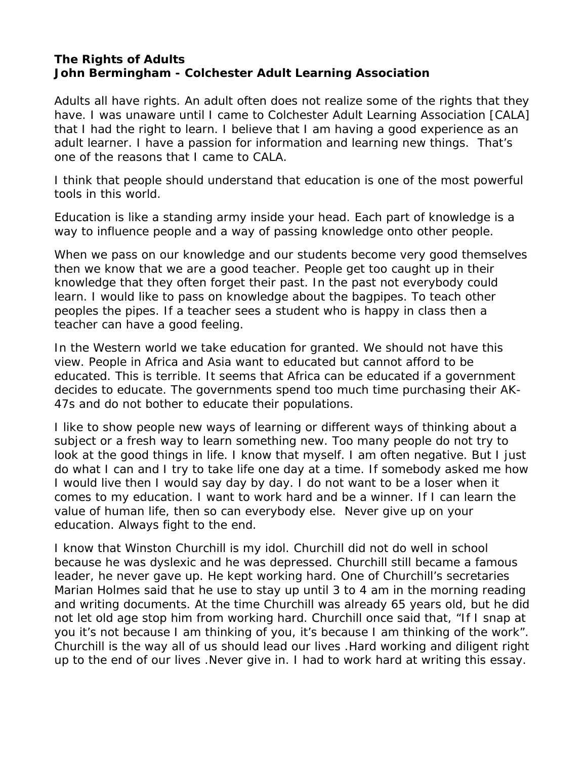### <span id="page-46-0"></span>**The Rights of Adults John Bermingham - Colchester Adult Learning Association**

Adults all have rights. An adult often does not realize some of the rights that they have. I was unaware until I came to Colchester Adult Learning Association [CALA] that I had the right to learn. I believe that I am having a good experience as an adult learner. I have a passion for information and learning new things. That's one of the reasons that I came to CALA.

I think that people should understand that education is one of the most powerful tools in this world.

Education is like a standing army inside your head. Each part of knowledge is a way to influence people and a way of passing knowledge onto other people.

When we pass on our knowledge and our students become very good themselves then we know that we are a good teacher. People get too caught up in their knowledge that they often forget their past. In the past not everybody could learn. I would like to pass on knowledge about the bagpipes. To teach other peoples the pipes. If a teacher sees a student who is happy in class then a teacher can have a good feeling.

In the Western world we take education for granted. We should not have this view. People in Africa and Asia want to educated but cannot afford to be educated. This is terrible. It seems that Africa can be educated if a government decides to educate. The governments spend too much time purchasing their AK-47s and do not bother to educate their populations.

I like to show people new ways of learning or different ways of thinking about a subject or a fresh way to learn something new. Too many people do not try to look at the good things in life. I know that myself. I am often negative. But I just do what I can and I try to take life one day at a time. If somebody asked me how I would live then I would say day by day. I do not want to be a loser when it comes to my education. I want to work hard and be a winner. If I can learn the value of human life, then so can everybody else. Never give up on your education. Always fight to the end.

I know that Winston Churchill is my idol. Churchill did not do well in school because he was dyslexic and he was depressed. Churchill still became a famous leader, he never gave up. He kept working hard. One of Churchill's secretaries Marian Holmes said that he use to stay up until 3 to 4 am in the morning reading and writing documents. At the time Churchill was already 65 years old, but he did not let old age stop him from working hard. Churchill once said that, "If I snap at you it's not because I am thinking of you, it's because I am thinking of the work". Churchill is the way all of us should lead our lives .Hard working and diligent right up to the end of our lives .Never give in. I had to work hard at writing this essay.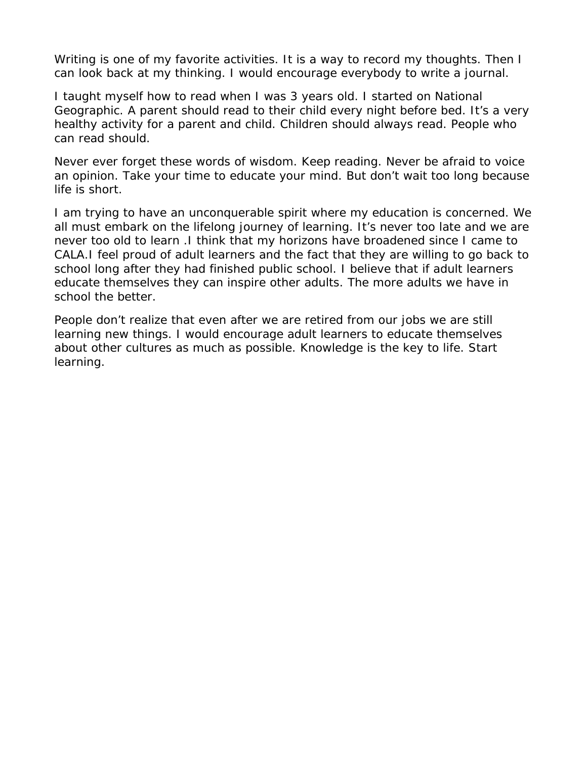Writing is one of my favorite activities. It is a way to record my thoughts. Then I can look back at my thinking. I would encourage everybody to write a journal.

I taught myself how to read when I was 3 years old. I started on National Geographic. A parent should read to their child every night before bed. It's a very healthy activity for a parent and child. Children should always read. People who can read should.

Never ever forget these words of wisdom. Keep reading. Never be afraid to voice an opinion. Take your time to educate your mind. But don't wait too long because life is short.

I am trying to have an unconquerable spirit where my education is concerned. We all must embark on the lifelong journey of learning. It's never too late and we are never too old to learn .I think that my horizons have broadened since I came to CALA.I feel proud of adult learners and the fact that they are willing to go back to school long after they had finished public school. I believe that if adult learners educate themselves they can inspire other adults. The more adults we have in school the better.

People don't realize that even after we are retired from our jobs we are still learning new things. I would encourage adult learners to educate themselves about other cultures as much as possible. Knowledge is the key to life. Start learning.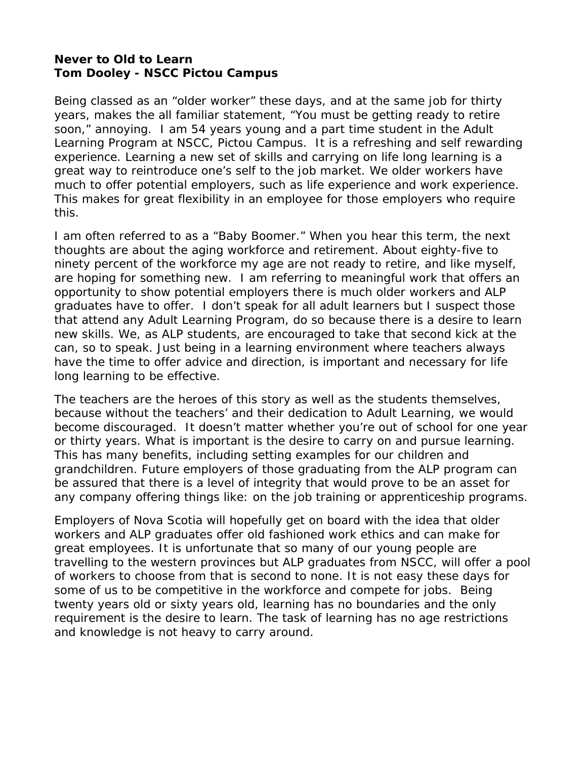### <span id="page-48-0"></span>**Never to Old to Learn Tom Dooley - NSCC Pictou Campus**

Being classed as an "older worker" these days, and at the same job for thirty years, makes the all familiar statement, "You must be getting ready to retire soon," annoying. I am 54 years young and a part time student in the Adult Learning Program at NSCC, Pictou Campus. It is a refreshing and self rewarding experience. Learning a new set of skills and carrying on life long learning is a great way to reintroduce one's self to the job market. We older workers have much to offer potential employers, such as life experience and work experience. This makes for great flexibility in an employee for those employers who require this.

I am often referred to as a "Baby Boomer." When you hear this term, the next thoughts are about the aging workforce and retirement. About eighty-five to ninety percent of the workforce my age are not ready to retire, and like myself, are hoping for something new. I am referring to meaningful work that offers an opportunity to show potential employers there is much older workers and ALP graduates have to offer. I don't speak for all adult learners but I suspect those that attend any Adult Learning Program, do so because there is a desire to learn new skills. We, as ALP students, are encouraged to take that second kick at the can, so to speak. Just being in a learning environment where teachers always have the time to offer advice and direction, is important and necessary for life long learning to be effective.

The teachers are the heroes of this story as well as the students themselves, because without the teachers' and their dedication to Adult Learning, we would become discouraged. It doesn't matter whether you're out of school for one year or thirty years. What is important is the desire to carry on and pursue learning. This has many benefits, including setting examples for our children and grandchildren. Future employers of those graduating from the ALP program can be assured that there is a level of integrity that would prove to be an asset for any company offering things like: on the job training or apprenticeship programs.

Employers of Nova Scotia will hopefully get on board with the idea that older workers and ALP graduates offer old fashioned work ethics and can make for great employees. It is unfortunate that so many of our young people are travelling to the western provinces but ALP graduates from NSCC, will offer a pool of workers to choose from that is second to none. It is not easy these days for some of us to be competitive in the workforce and compete for jobs. Being twenty years old or sixty years old, learning has no boundaries and the only requirement is the desire to learn. The task of learning has no age restrictions and knowledge is not heavy to carry around.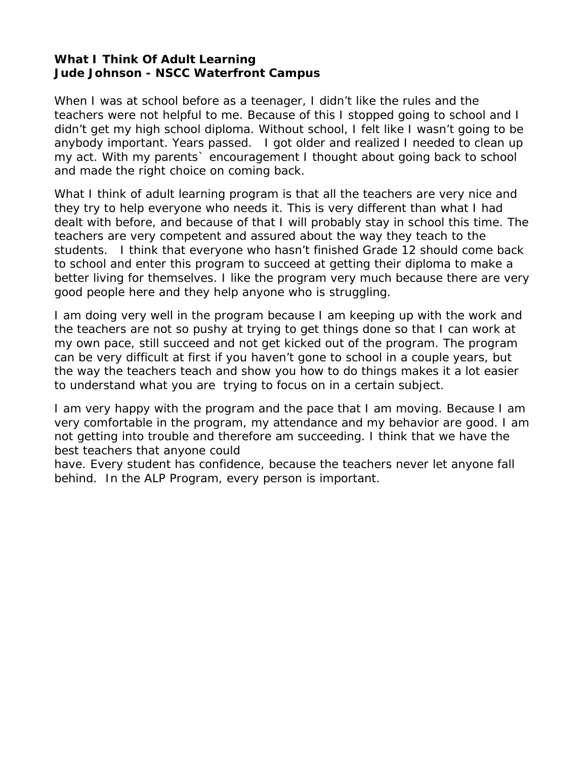#### <span id="page-49-0"></span>**What I Think Of Adult Learning Jude Johnson - NSCC Waterfront Campus**

When I was at school before as a teenager, I didn't like the rules and the teachers were not helpful to me. Because of this I stopped going to school and I didn't get my high school diploma. Without school, I felt like I wasn't going to be anybody important. Years passed. I got older and realized I needed to clean up my act. With my parents` encouragement I thought about going back to school and made the right choice on coming back.

What I think of adult learning program is that all the teachers are very nice and they try to help everyone who needs it. This is very different than what I had dealt with before, and because of that I will probably stay in school this time. The teachers are very competent and assured about the way they teach to the students. I think that everyone who hasn't finished Grade 12 should come back to school and enter this program to succeed at getting their diploma to make a better living for themselves. I like the program very much because there are very good people here and they help anyone who is struggling.

I am doing very well in the program because I am keeping up with the work and the teachers are not so pushy at trying to get things done so that I can work at my own pace, still succeed and not get kicked out of the program. The program can be very difficult at first if you haven't gone to school in a couple years, but the way the teachers teach and show you how to do things makes it a lot easier to understand what you are trying to focus on in a certain subject.

I am very happy with the program and the pace that I am moving. Because I am very comfortable in the program, my attendance and my behavior are good. I am not getting into trouble and therefore am succeeding. I think that we have the best teachers that anyone could

have. Every student has confidence, because the teachers never let anyone fall behind. In the ALP Program, every person is important.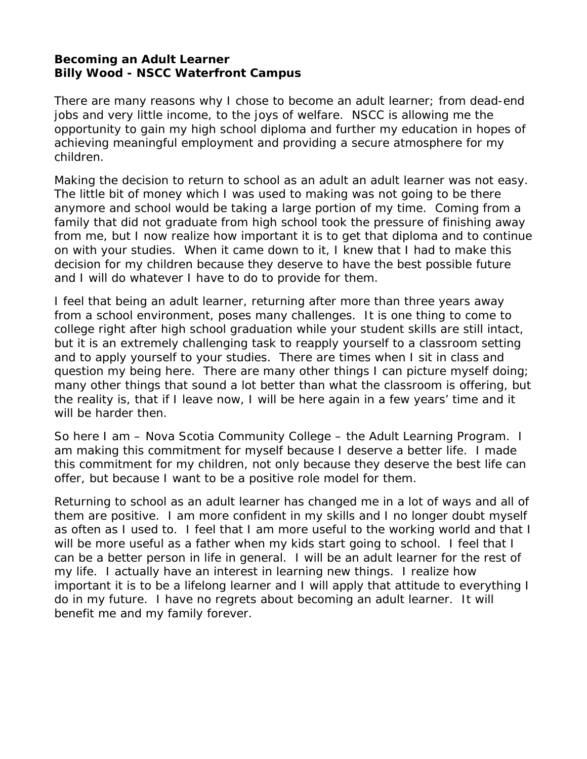#### <span id="page-50-0"></span>**Becoming an Adult Learner Billy Wood - NSCC Waterfront Campus**

There are many reasons why I chose to become an adult learner; from dead-end jobs and very little income, to the joys of welfare. NSCC is allowing me the opportunity to gain my high school diploma and further my education in hopes of achieving meaningful employment and providing a secure atmosphere for my children.

Making the decision to return to school as an adult an adult learner was not easy. The little bit of money which I was used to making was not going to be there anymore and school would be taking a large portion of my time. Coming from a family that did not graduate from high school took the pressure of finishing away from me, but I now realize how important it is to get that diploma and to continue on with your studies. When it came down to it, I knew that I had to make this decision for my children because they deserve to have the best possible future and I will do whatever I have to do to provide for them.

I feel that being an adult learner, returning after more than three years away from a school environment, poses many challenges. It is one thing to come to college right after high school graduation while your student skills are still intact, but it is an extremely challenging task to reapply yourself to a classroom setting and to apply yourself to your studies. There are times when I sit in class and question my being here. There are many other things I can picture myself doing; many other things that sound a lot better than what the classroom is offering, but the reality is, that if I leave now, I will be here again in a few years' time and it will be harder then.

So here I am – Nova Scotia Community College – the Adult Learning Program. I am making this commitment for myself because I deserve a better life. I made this commitment for my children, not only because they deserve the best life can offer, but because I want to be a positive role model for them.

Returning to school as an adult learner has changed me in a lot of ways and all of them are positive. I am more confident in my skills and I no longer doubt myself as often as I used to. I feel that I am more useful to the working world and that I will be more useful as a father when my kids start going to school. I feel that I can be a better person in life in general. I will be an adult learner for the rest of my life. I actually have an interest in learning new things. I realize how important it is to be a lifelong learner and I will apply that attitude to everything I do in my future. I have no regrets about becoming an adult learner. It will benefit me and my family forever.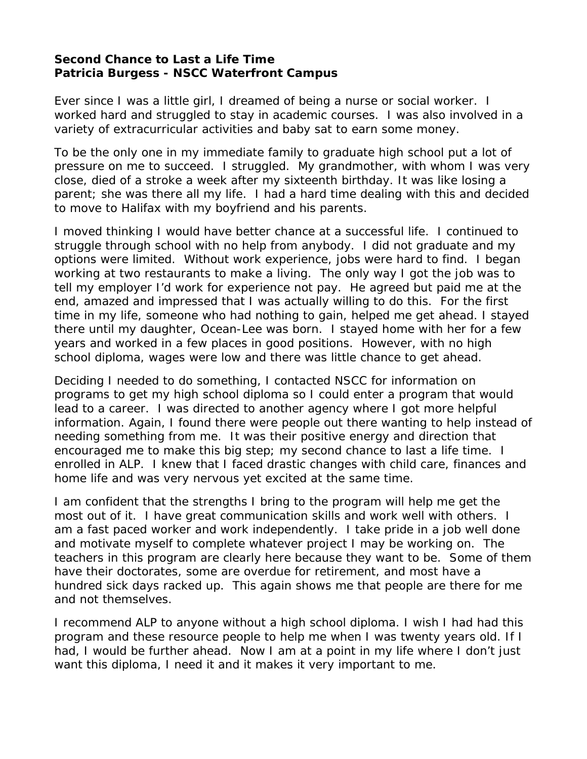## <span id="page-51-0"></span>**Second Chance to Last a Life Time Patricia Burgess - NSCC Waterfront Campus**

Ever since I was a little girl, I dreamed of being a nurse or social worker. I worked hard and struggled to stay in academic courses. I was also involved in a variety of extracurricular activities and baby sat to earn some money.

To be the only one in my immediate family to graduate high school put a lot of pressure on me to succeed. I struggled. My grandmother, with whom I was very close, died of a stroke a week after my sixteenth birthday. It was like losing a parent; she was there all my life. I had a hard time dealing with this and decided to move to Halifax with my boyfriend and his parents.

I moved thinking I would have better chance at a successful life. I continued to struggle through school with no help from anybody. I did not graduate and my options were limited. Without work experience, jobs were hard to find. I began working at two restaurants to make a living. The only way I got the job was to tell my employer I'd work for experience not pay. He agreed but paid me at the end, amazed and impressed that I was actually willing to do this. For the first time in my life, someone who had nothing to gain, helped me get ahead. I stayed there until my daughter, Ocean-Lee was born. I stayed home with her for a few years and worked in a few places in good positions. However, with no high school diploma, wages were low and there was little chance to get ahead.

Deciding I needed to do something, I contacted NSCC for information on programs to get my high school diploma so I could enter a program that would lead to a career. I was directed to another agency where I got more helpful information. Again, I found there were people out there wanting to help instead of needing something from me. It was their positive energy and direction that encouraged me to make this big step; my second chance to last a life time. I enrolled in ALP. I knew that I faced drastic changes with child care, finances and home life and was very nervous yet excited at the same time.

I am confident that the strengths I bring to the program will help me get the most out of it. I have great communication skills and work well with others. I am a fast paced worker and work independently. I take pride in a job well done and motivate myself to complete whatever project I may be working on. The teachers in this program are clearly here because they want to be. Some of them have their doctorates, some are overdue for retirement, and most have a hundred sick days racked up. This again shows me that people are there for me and not themselves.

I recommend ALP to anyone without a high school diploma. I wish I had had this program and these resource people to help me when I was twenty years old. If I had, I would be further ahead. Now I am at a point in my life where I don't just want this diploma, I *need* it and it makes it very important to me.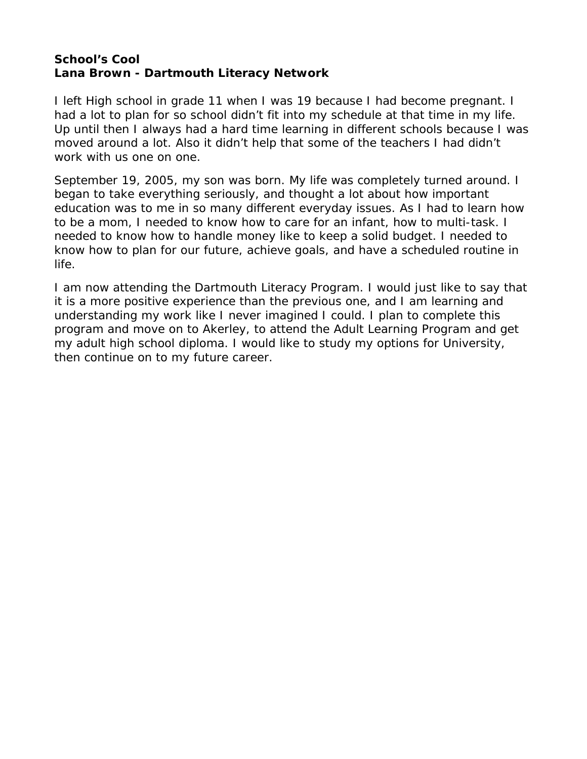## <span id="page-52-0"></span>**School's Cool Lana Brown - Dartmouth Literacy Network**

I left High school in grade 11 when I was 19 because I had become pregnant. I had a lot to plan for so school didn't fit into my schedule at that time in my life. Up until then I always had a hard time learning in different schools because I was moved around a lot. Also it didn't help that some of the teachers I had didn't work with us one on one.

September 19, 2005, my son was born. My life was completely turned around. I began to take everything seriously, and thought a lot about how important education was to me in so many different everyday issues. As I had to learn how to be a mom, I needed to know how to care for an infant, how to multi-task. I needed to know how to handle money like to keep a solid budget. I needed to know how to plan for our future, achieve goals, and have a scheduled routine in life.

I am now attending the Dartmouth Literacy Program. I would just like to say that it is a more positive experience than the previous one, and I am learning and understanding my work like I never imagined I could. I plan to complete this program and move on to Akerley, to attend the Adult Learning Program and get my adult high school diploma. I would like to study my options for University, then continue on to my future career.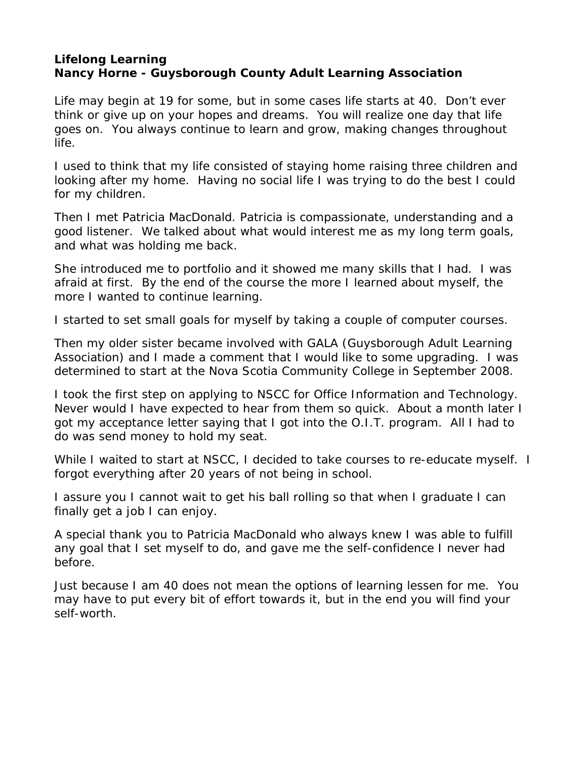## <span id="page-53-0"></span>**Lifelong Learning Nancy Horne - Guysborough County Adult Learning Association**

Life may begin at 19 for some, but in some cases life starts at 40. Don't ever think or give up on your hopes and dreams. You will realize one day that life goes on. You always continue to learn and grow, making changes throughout life.

I used to think that my life consisted of staying home raising three children and looking after my home. Having no social life I was trying to do the best I could for my children.

Then I met Patricia MacDonald. Patricia is compassionate, understanding and a good listener. We talked about what would interest me as my long term goals, and what was holding me back.

She introduced me to portfolio and it showed me many skills that I had. I was afraid at first. By the end of the course the more I learned about myself, the more I wanted to continue learning.

I started to set small goals for myself by taking a couple of computer courses.

Then my older sister became involved with GALA (Guysborough Adult Learning Association) and I made a comment that I would like to some upgrading. I was determined to start at the Nova Scotia Community College in September 2008.

I took the first step on applying to NSCC for Office Information and Technology. Never would I have expected to hear from them so quick. About a month later I got my acceptance letter saying that I got into the O.I.T. program. All I had to do was send money to hold my seat.

While I waited to start at NSCC, I decided to take courses to re-educate myself. I forgot everything after 20 years of not being in school.

I assure you I cannot wait to get his ball rolling so that when I graduate I can finally get a job I can enjoy.

A special thank you to Patricia MacDonald who always knew I was able to fulfill any goal that I set myself to do, and gave me the self-confidence I never had before.

Just because I am 40 does not mean the options of learning lessen for me. You may have to put every bit of effort towards it, but in the end you will find your self-worth.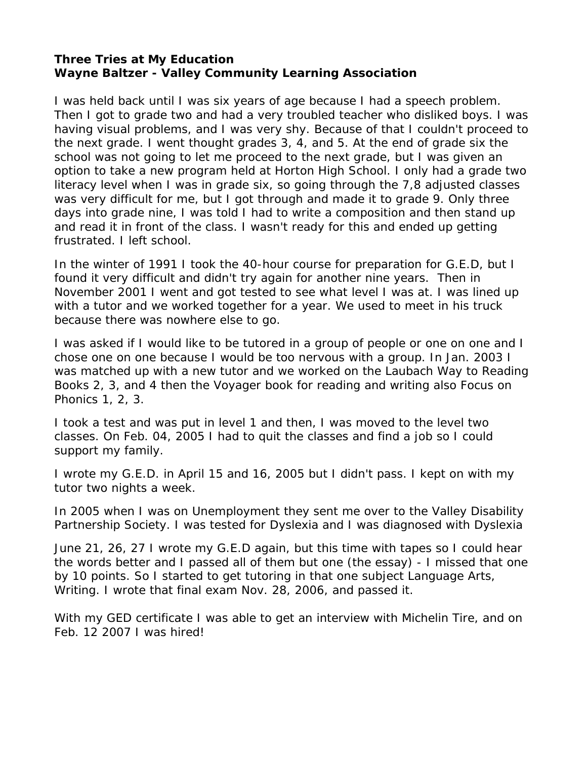#### <span id="page-54-0"></span>**Three Tries at My Education Wayne Baltzer - Valley Community Learning Association**

I was held back until I was six years of age because I had a speech problem. Then I got to grade two and had a very troubled teacher who disliked boys. I was having visual problems, and I was very shy. Because of that I couldn't proceed to the next grade. I went thought grades 3, 4, and 5. At the end of grade six the school was not going to let me proceed to the next grade, but I was given an option to take a new program held at Horton High School. I only had a grade two literacy level when I was in grade six, so going through the 7,8 adjusted classes was very difficult for me, but I got through and made it to grade 9. Only three days into grade nine, I was told I had to write a composition and then stand up and read it in front of the class. I wasn't ready for this and ended up getting frustrated. I left school.

In the winter of 1991 I took the 40-hour course for preparation for G.E.D, but I found it very difficult and didn't try again for another nine years. Then in November 2001 I went and got tested to see what level I was at. I was lined up with a tutor and we worked together for a year. We used to meet in his truck because there was nowhere else to go.

I was asked if I would like to be tutored in a group of people or one on one and I chose one on one because I would be too nervous with a group. In Jan. 2003 I was matched up with a new tutor and we worked on the Laubach Way to Reading Books 2, 3, and 4 then the Voyager book for reading and writing also Focus on Phonics 1, 2, 3.

I took a test and was put in level 1 and then, I was moved to the level two classes. On Feb. 04, 2005 I had to quit the classes and find a job so I could support my family.

I wrote my G.E.D. in April 15 and 16, 2005 but I didn't pass. I kept on with my tutor two nights a week.

In 2005 when I was on Unemployment they sent me over to the Valley Disability Partnership Society. I was tested for Dyslexia and I was diagnosed with Dyslexia

June 21, 26, 27 I wrote my G.E.D again, but this time with tapes so I could hear the words better and I passed all of them but one (the essay) - I missed that one by 10 points. So I started to get tutoring in that one subject Language Arts, Writing. I wrote that final exam Nov. 28, 2006, and passed it.

With my GED certificate I was able to get an interview with Michelin Tire, and on Feb. 12 2007 I was hired!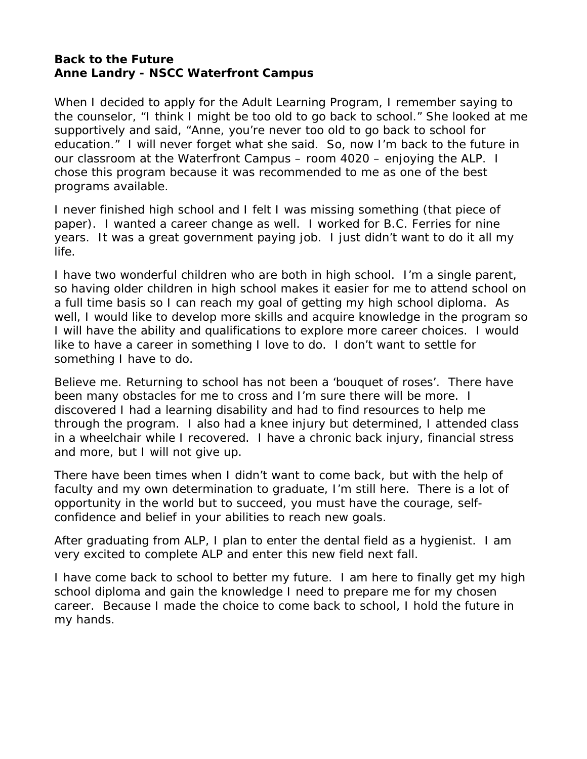#### <span id="page-55-0"></span>**Back to the Future Anne Landry - NSCC Waterfront Campus**

When I decided to apply for the Adult Learning Program, I remember saying to the counselor, "I think I might be too old to go back to school." She looked at me supportively and said, "Anne, you're never too old to go back to school for education." I will never forget what she said. So, now I'm back to the future in our classroom at the Waterfront Campus – room 4020 – enjoying the ALP. I chose this program because it was recommended to me as one of the best programs available.

I never finished high school and I felt I was missing something (that piece of paper). I wanted a career change as well. I worked for B.C. Ferries for nine years. It was a great government paying job. I just didn't want to do it all my life.

I have two wonderful children who are both in high school. I'm a single parent, so having older children in high school makes it easier for me to attend school on a full time basis so I can reach my goal of getting my high school diploma. As well, I would like to develop more skills and acquire knowledge in the program so I will have the ability and qualifications to explore more career choices. I would like to have a career in something I love to do. I don't want to settle for something I have to do.

Believe me. Returning to school has not been a 'bouquet of roses'. There have been many obstacles for me to cross and I'm sure there will be more. I discovered I had a learning disability and had to find resources to help me through the program. I also had a knee injury but determined, I attended class in a wheelchair while I recovered. I have a chronic back injury, financial stress and more, but I will not give up.

There have been times when I didn't want to come back, but with the help of faculty and my own determination to graduate, I'm still here. There is a lot of opportunity in the world but to succeed, you must have the courage, selfconfidence and belief in your abilities to reach new goals.

After graduating from ALP, I plan to enter the dental field as a hygienist. I am very excited to complete ALP and enter this new field next fall.

I have come back to school to better my future. I am here to finally get my high school diploma and gain the knowledge I need to prepare me for my chosen career. Because I made the choice to come back to school, I hold the future in my hands.